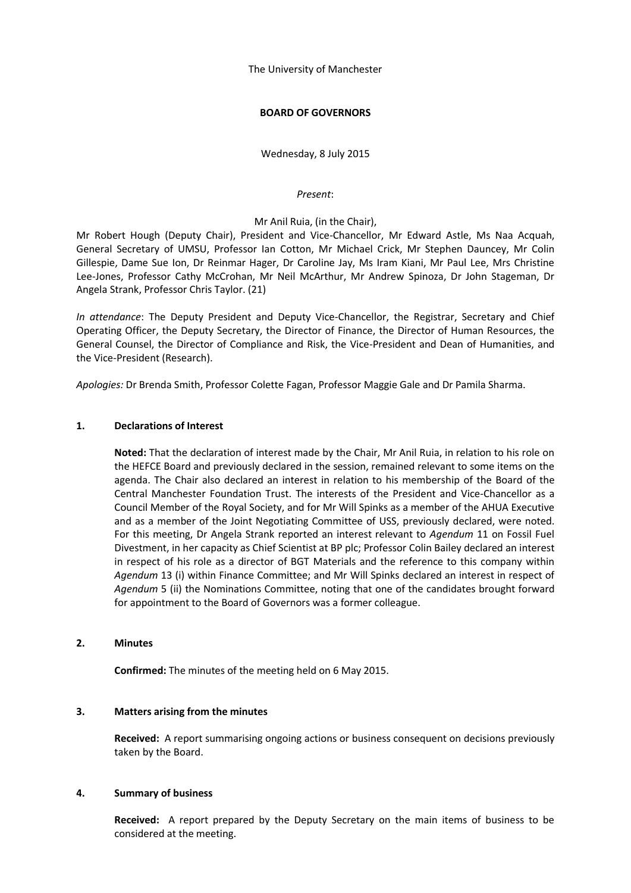The University of Manchester

## **BOARD OF GOVERNORS**

Wednesday, 8 July 2015

*Present*:

## Mr Anil Ruia, (in the Chair),

Mr Robert Hough (Deputy Chair), President and Vice-Chancellor, Mr Edward Astle, Ms Naa Acquah, General Secretary of UMSU, Professor Ian Cotton, Mr Michael Crick, Mr Stephen Dauncey, Mr Colin Gillespie, Dame Sue Ion, Dr Reinmar Hager, Dr Caroline Jay, Ms Iram Kiani, Mr Paul Lee, Mrs Christine Lee-Jones, Professor Cathy McCrohan, Mr Neil McArthur, Mr Andrew Spinoza, Dr John Stageman, Dr Angela Strank, Professor Chris Taylor. (21)

*In attendance*: The Deputy President and Deputy Vice-Chancellor, the Registrar, Secretary and Chief Operating Officer, the Deputy Secretary, the Director of Finance, the Director of Human Resources, the General Counsel, the Director of Compliance and Risk, the Vice-President and Dean of Humanities, and the Vice-President (Research).

*Apologies:* Dr Brenda Smith, Professor Colette Fagan, Professor Maggie Gale and Dr Pamila Sharma.

## **1. Declarations of Interest**

**Noted:** That the declaration of interest made by the Chair, Mr Anil Ruia, in relation to his role on the HEFCE Board and previously declared in the session, remained relevant to some items on the agenda. The Chair also declared an interest in relation to his membership of the Board of the Central Manchester Foundation Trust. The interests of the President and Vice-Chancellor as a Council Member of the Royal Society, and for Mr Will Spinks as a member of the AHUA Executive and as a member of the Joint Negotiating Committee of USS, previously declared, were noted. For this meeting, Dr Angela Strank reported an interest relevant to *Agendum* 11 on Fossil Fuel Divestment, in her capacity as Chief Scientist at BP plc; Professor Colin Bailey declared an interest in respect of his role as a director of BGT Materials and the reference to this company within *Agendum* 13 (i) within Finance Committee; and Mr Will Spinks declared an interest in respect of *Agendum* 5 (ii) the Nominations Committee, noting that one of the candidates brought forward for appointment to the Board of Governors was a former colleague.

## **2. Minutes**

**Confirmed:** The minutes of the meeting held on 6 May 2015.

## **3. Matters arising from the minutes**

**Received:** A report summarising ongoing actions or business consequent on decisions previously taken by the Board.

## **4. Summary of business**

**Received:** A report prepared by the Deputy Secretary on the main items of business to be considered at the meeting.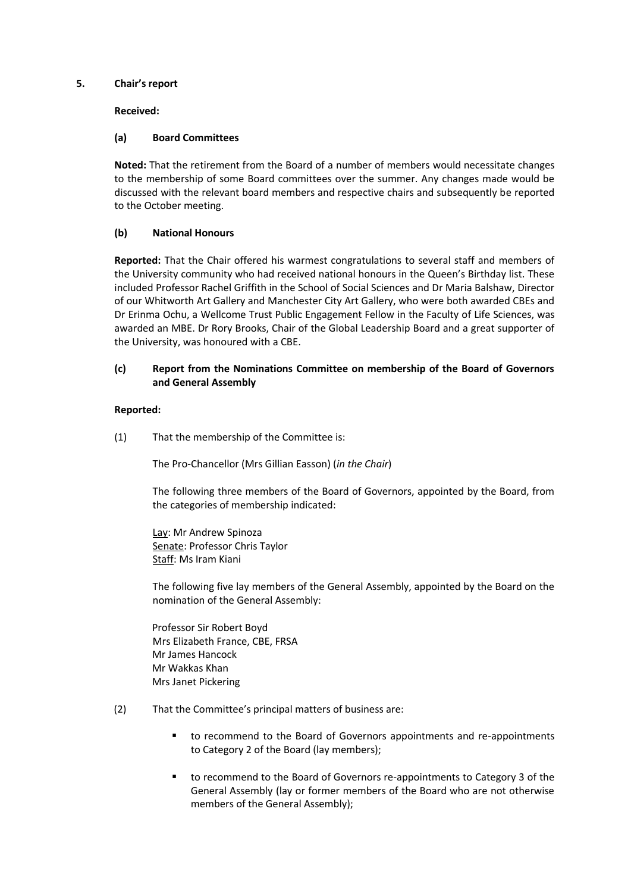## **5. Chair's report**

## **Received:**

## **(a) Board Committees**

**Noted:** That the retirement from the Board of a number of members would necessitate changes to the membership of some Board committees over the summer. Any changes made would be discussed with the relevant board members and respective chairs and subsequently be reported to the October meeting.

# **(b) National Honours**

**Reported:** That the Chair offered his warmest congratulations to several staff and members of the University community who had received national honours in the Queen's Birthday list. These included Professor Rachel Griffith in the School of Social Sciences and Dr Maria Balshaw, Director of our Whitworth Art Gallery and Manchester City Art Gallery, who were both awarded CBEs and Dr Erinma Ochu, a Wellcome Trust Public Engagement Fellow in the Faculty of Life Sciences, was awarded an MBE. Dr Rory Brooks, Chair of the Global Leadership Board and a great supporter of the University, was honoured with a CBE.

## **(c) Report from the Nominations Committee on membership of the Board of Governors and General Assembly**

# **Reported:**

(1) That the membership of the Committee is:

The Pro-Chancellor (Mrs Gillian Easson) (*in the Chair*)

The following three members of the Board of Governors, appointed by the Board, from the categories of membership indicated:

Lay: Mr Andrew Spinoza Senate: Professor Chris Taylor Staff: Ms Iram Kiani

The following five lay members of the General Assembly, appointed by the Board on the nomination of the General Assembly:

Professor Sir Robert Boyd Mrs Elizabeth France, CBE, FRSA Mr James Hancock Mr Wakkas Khan Mrs Janet Pickering

- (2) That the Committee's principal matters of business are:
	- to recommend to the Board of Governors appointments and re-appointments to Category 2 of the Board (lay members);
	- to recommend to the Board of Governors re-appointments to Category 3 of the General Assembly (lay or former members of the Board who are not otherwise members of the General Assembly);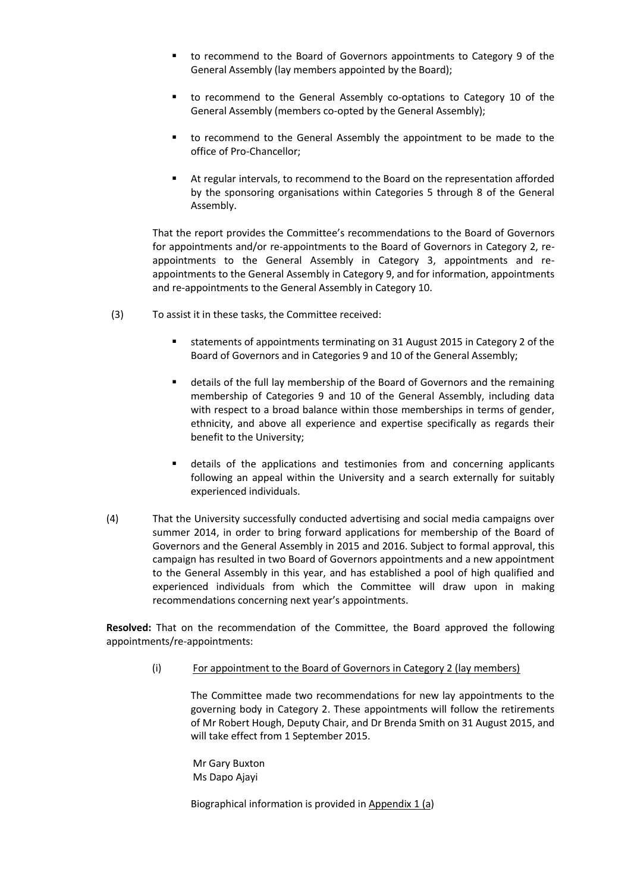- to recommend to the Board of Governors appointments to Category 9 of the General Assembly (lay members appointed by the Board);
- to recommend to the General Assembly co-optations to Category 10 of the General Assembly (members co-opted by the General Assembly);
- to recommend to the General Assembly the appointment to be made to the office of Pro-Chancellor;
- At regular intervals, to recommend to the Board on the representation afforded by the sponsoring organisations within Categories 5 through 8 of the General Assembly.

That the report provides the Committee's recommendations to the Board of Governors for appointments and/or re-appointments to the Board of Governors in Category 2, reappointments to the General Assembly in Category 3, appointments and reappointments to the General Assembly in Category 9, and for information, appointments and re-appointments to the General Assembly in Category 10.

- (3) To assist it in these tasks, the Committee received:
	- statements of appointments terminating on 31 August 2015 in Category 2 of the Board of Governors and in Categories 9 and 10 of the General Assembly;
	- details of the full lay membership of the Board of Governors and the remaining membership of Categories 9 and 10 of the General Assembly, including data with respect to a broad balance within those memberships in terms of gender, ethnicity, and above all experience and expertise specifically as regards their benefit to the University;
	- details of the applications and testimonies from and concerning applicants following an appeal within the University and a search externally for suitably experienced individuals.
- (4) That the University successfully conducted advertising and social media campaigns over summer 2014, in order to bring forward applications for membership of the Board of Governors and the General Assembly in 2015 and 2016. Subject to formal approval, this campaign has resulted in two Board of Governors appointments and a new appointment to the General Assembly in this year, and has established a pool of high qualified and experienced individuals from which the Committee will draw upon in making recommendations concerning next year's appointments.

**Resolved:** That on the recommendation of the Committee, the Board approved the following appointments/re-appointments:

(i) For appointment to the Board of Governors in Category 2 (lay members)

The Committee made two recommendations for new lay appointments to the governing body in Category 2. These appointments will follow the retirements of Mr Robert Hough, Deputy Chair, and Dr Brenda Smith on 31 August 2015, and will take effect from 1 September 2015.

Mr Gary Buxton Ms Dapo Ajayi

Biographical information is provided in Appendix 1 (a)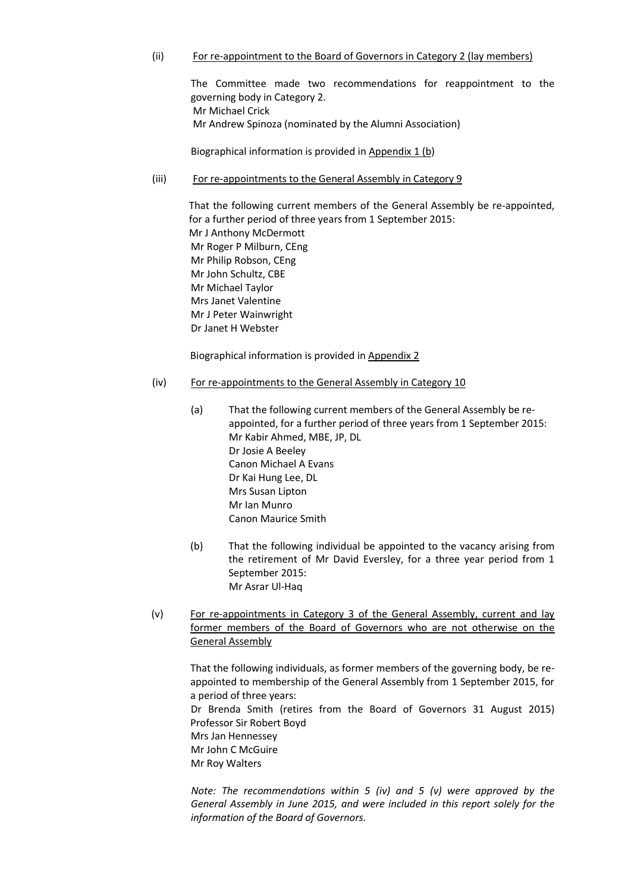## (ii) For re-appointment to the Board of Governors in Category 2 (lay members)

The Committee made two recommendations for reappointment to the governing body in Category 2. Mr Michael Crick Mr Andrew Spinoza (nominated by the Alumni Association)

Biographical information is provided in Appendix 1 (b)

(iii) For re-appointments to the General Assembly in Category 9

That the following current members of the General Assembly be re-appointed, for a further period of three years from 1 September 2015: Mr J Anthony McDermott Mr Roger P Milburn, CEng Mr Philip Robson, CEng Mr John Schultz, CBE Mr Michael Taylor Mrs Janet Valentine Mr J Peter Wainwright Dr Janet H Webster

Biographical information is provided in Appendix 2

- (iv) For re-appointments to the General Assembly in Category 10
	- (a) That the following current members of the General Assembly be reappointed, for a further period of three years from 1 September 2015: Mr Kabir Ahmed, MBE, JP, DL Dr Josie A Beeley Canon Michael A Evans Dr Kai Hung Lee, DL Mrs Susan Lipton Mr Ian Munro Canon Maurice Smith
	- (b) That the following individual be appointed to the vacancy arising from the retirement of Mr David Eversley, for a three year period from 1 September 2015: Mr Asrar Ul-Haq
- (v) For re-appointments in Category 3 of the General Assembly, current and lay former members of the Board of Governors who are not otherwise on the General Assembly

That the following individuals, as former members of the governing body, be reappointed to membership of the General Assembly from 1 September 2015, for a period of three years: Dr Brenda Smith (retires from the Board of Governors 31 August 2015) Professor Sir Robert Boyd Mrs Jan Hennessey Mr John C McGuire Mr Roy Walters

*Note: The recommendations within 5 (iv) and 5 (v) were approved by the General Assembly in June 2015, and were included in this report solely for the information of the Board of Governors.*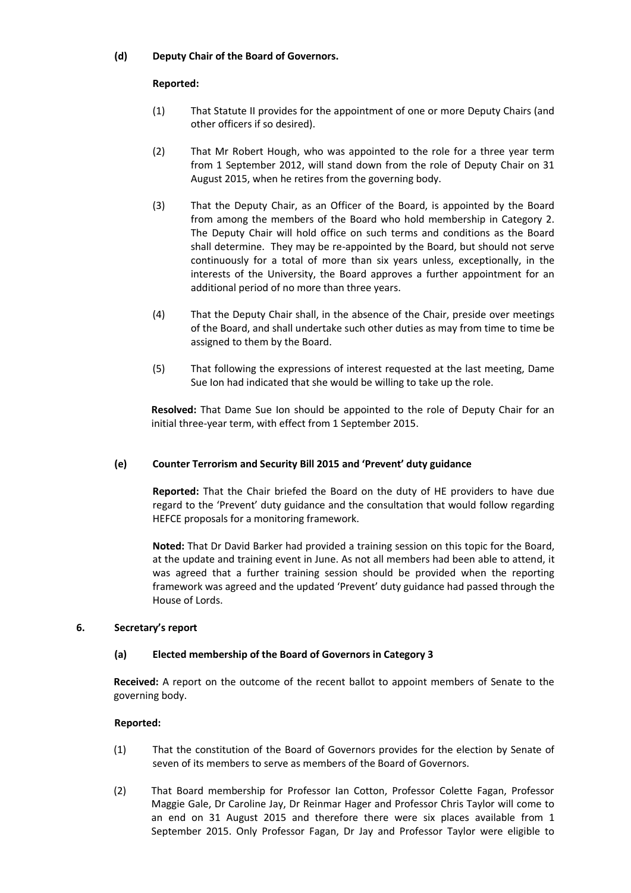# **(d) Deputy Chair of the Board of Governors.**

## **Reported:**

- (1) That Statute II provides for the appointment of one or more Deputy Chairs (and other officers if so desired).
- (2) That Mr Robert Hough, who was appointed to the role for a three year term from 1 September 2012, will stand down from the role of Deputy Chair on 31 August 2015, when he retires from the governing body.
- (3) That the Deputy Chair, as an Officer of the Board, is appointed by the Board from among the members of the Board who hold membership in Category 2. The Deputy Chair will hold office on such terms and conditions as the Board shall determine. They may be re-appointed by the Board, but should not serve continuously for a total of more than six years unless, exceptionally, in the interests of the University, the Board approves a further appointment for an additional period of no more than three years.
- (4) That the Deputy Chair shall, in the absence of the Chair, preside over meetings of the Board, and shall undertake such other duties as may from time to time be assigned to them by the Board.
- (5) That following the expressions of interest requested at the last meeting, Dame Sue Ion had indicated that she would be willing to take up the role.

**Resolved:** That Dame Sue Ion should be appointed to the role of Deputy Chair for an initial three-year term, with effect from 1 September 2015.

# **(e) Counter Terrorism and Security Bill 2015 and 'Prevent' duty guidance**

**Reported:** That the Chair briefed the Board on the duty of HE providers to have due regard to the 'Prevent' duty guidance and the consultation that would follow regarding HEFCE proposals for a monitoring framework.

**Noted:** That Dr David Barker had provided a training session on this topic for the Board, at the update and training event in June. As not all members had been able to attend, it was agreed that a further training session should be provided when the reporting framework was agreed and the updated 'Prevent' duty guidance had passed through the House of Lords.

## **6. Secretary's report**

## **(a) Elected membership of the Board of Governors in Category 3**

**Received:** A report on the outcome of the recent ballot to appoint members of Senate to the governing body.

- (1) That the constitution of the Board of Governors provides for the election by Senate of seven of its members to serve as members of the Board of Governors.
- (2) That Board membership for Professor Ian Cotton, Professor Colette Fagan, Professor Maggie Gale, Dr Caroline Jay, Dr Reinmar Hager and Professor Chris Taylor will come to an end on 31 August 2015 and therefore there were six places available from 1 September 2015. Only Professor Fagan, Dr Jay and Professor Taylor were eligible to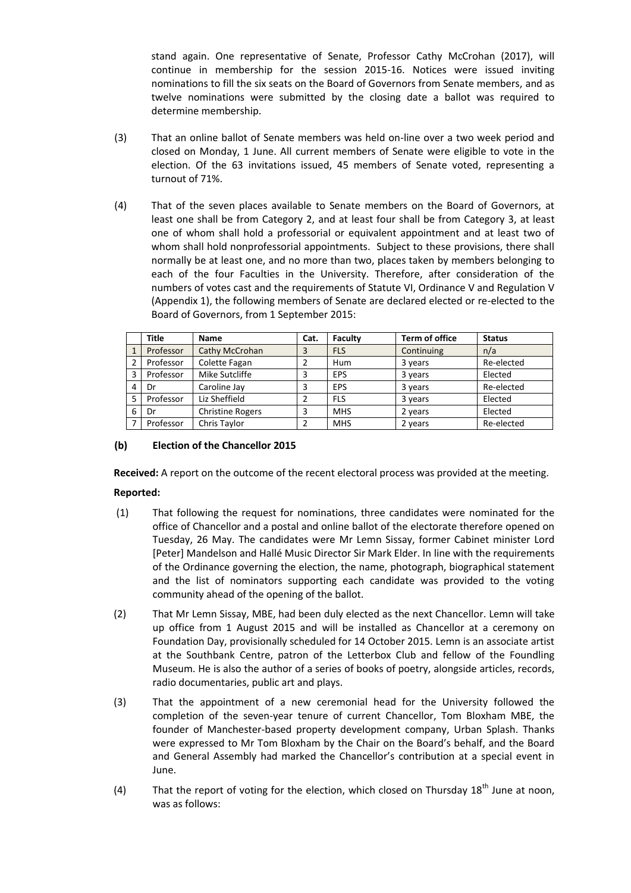stand again. One representative of Senate, Professor Cathy McCrohan (2017), will continue in membership for the session 2015-16. Notices were issued inviting nominations to fill the six seats on the Board of Governors from Senate members, and as twelve nominations were submitted by the closing date a ballot was required to determine membership.

- (3) That an online ballot of Senate members was held on-line over a two week period and closed on Monday, 1 June. All current members of Senate were eligible to vote in the election. Of the 63 invitations issued, 45 members of Senate voted, representing a turnout of 71%.
- (4) That of the seven places available to Senate members on the Board of Governors, at least one shall be from Category 2, and at least four shall be from Category 3, at least one of whom shall hold a professorial or equivalent appointment and at least two of whom shall hold nonprofessorial appointments. Subject to these provisions, there shall normally be at least one, and no more than two, places taken by members belonging to each of the four Faculties in the University. Therefore, after consideration of the numbers of votes cast and the requirements of Statute VI, Ordinance V and Regulation V (Appendix 1), the following members of Senate are declared elected or re-elected to the Board of Governors, from 1 September 2015:

|              | Title     | <b>Name</b>             | Cat. | Faculty    | <b>Term of office</b> | <b>Status</b> |
|--------------|-----------|-------------------------|------|------------|-----------------------|---------------|
| $\mathbf{1}$ | Professor | Cathy McCrohan          | 3    | <b>FLS</b> | Continuing            | n/a           |
| 2            | Professor | Colette Fagan           |      | Hum        | 3 years               | Re-elected    |
| 3            | Professor | Mike Sutcliffe          |      | <b>EPS</b> | 3 years               | Elected       |
| 4            | Dr        | Caroline Jay            | 3    | <b>EPS</b> | 3 years               | Re-elected    |
| 5            | Professor | Liz Sheffield           |      | <b>FLS</b> | 3 years               | Elected       |
| 6            | Dr        | <b>Christine Rogers</b> | 3    | <b>MHS</b> | 2 years               | Elected       |
| 7            | Professor | Chris Taylor            | າ    | <b>MHS</b> | 2 years               | Re-elected    |

# **(b) Election of the Chancellor 2015**

**Received:** A report on the outcome of the recent electoral process was provided at the meeting.

- (1) That following the request for nominations, three candidates were nominated for the office of Chancellor and a postal and online ballot of the electorate therefore opened on Tuesday, 26 May. The candidates were Mr Lemn Sissay, former Cabinet minister Lord [Peter] Mandelson and Hallé Music Director Sir Mark Elder. In line with the requirements of the Ordinance governing the election, the name, photograph, biographical statement and the list of nominators supporting each candidate was provided to the voting community ahead of the opening of the ballot.
- (2) That Mr Lemn Sissay, MBE, had been duly elected as the next Chancellor. Lemn will take up office from 1 August 2015 and will be installed as Chancellor at a ceremony on Foundation Day, provisionally scheduled for 14 October 2015. Lemn is an associate artist at the Southbank Centre, patron of the Letterbox Club and fellow of the Foundling Museum. He is also the author of a series of books of poetry, alongside articles, records, radio documentaries, public art and plays.
- (3) That the appointment of a new ceremonial head for the University followed the completion of the seven-year tenure of current Chancellor, Tom Bloxham MBE, the founder of Manchester-based property development company, Urban Splash. Thanks were expressed to Mr Tom Bloxham by the Chair on the Board's behalf, and the Board and General Assembly had marked the Chancellor's contribution at a special event in June.
- (4) That the report of voting for the election, which closed on Thursday  $18<sup>th</sup>$  June at noon, was as follows: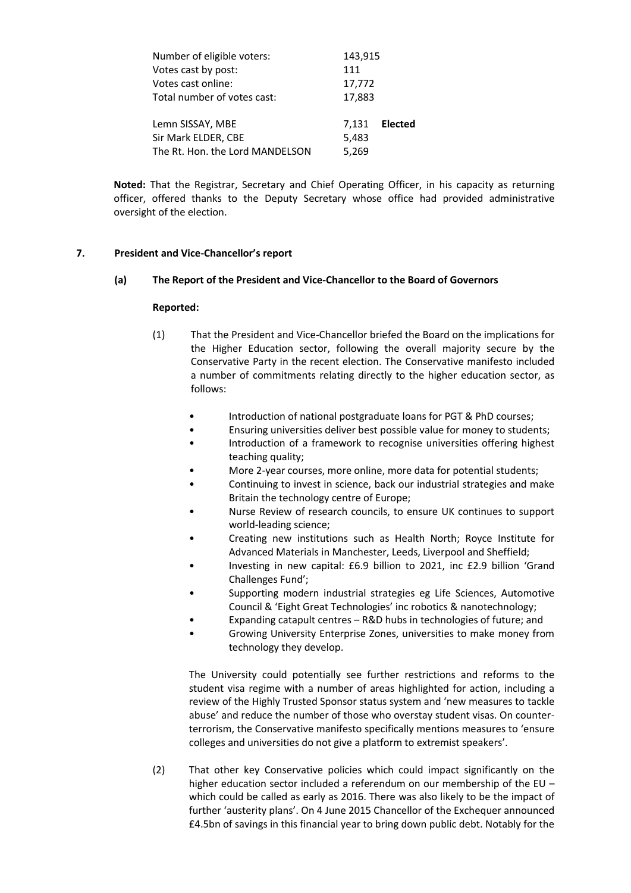| Number of eligible voters:      | 143,915 |                |  |
|---------------------------------|---------|----------------|--|
| Votes cast by post:             | 111     |                |  |
| Votes cast online:              | 17,772  |                |  |
| Total number of votes cast:     | 17,883  |                |  |
| Lemn SISSAY, MBE                | 7.131   | <b>Elected</b> |  |
| Sir Mark ELDER, CBE             | 5,483   |                |  |
| The Rt. Hon. the Lord MANDELSON | 5,269   |                |  |

**Noted:** That the Registrar, Secretary and Chief Operating Officer, in his capacity as returning officer, offered thanks to the Deputy Secretary whose office had provided administrative oversight of the election.

## **7. President and Vice-Chancellor's report**

## **(a) The Report of the President and Vice-Chancellor to the Board of Governors**

## **Reported:**

- (1) That the President and Vice-Chancellor briefed the Board on the implications for the Higher Education sector, following the overall majority secure by the Conservative Party in the recent election. The Conservative manifesto included a number of commitments relating directly to the higher education sector, as follows:
	- Introduction of national postgraduate loans for PGT & PhD courses;
	- Ensuring universities deliver best possible value for money to students;
	- Introduction of a framework to recognise universities offering highest teaching quality;
	- More 2-year courses, more online, more data for potential students;
	- Continuing to invest in science, back our industrial strategies and make Britain the technology centre of Europe;
	- Nurse Review of research councils, to ensure UK continues to support world-leading science;
	- Creating new institutions such as Health North; Royce Institute for Advanced Materials in Manchester, Leeds, Liverpool and Sheffield;
	- Investing in new capital: £6.9 billion to 2021, inc £2.9 billion 'Grand Challenges Fund';
	- Supporting modern industrial strategies eg Life Sciences, Automotive Council & 'Eight Great Technologies' inc robotics & nanotechnology;
	- Expanding catapult centres R&D hubs in technologies of future; and
	- Growing University Enterprise Zones, universities to make money from technology they develop.

The University could potentially see further restrictions and reforms to the student visa regime with a number of areas highlighted for action, including a review of the Highly Trusted Sponsor status system and 'new measures to tackle abuse' and reduce the number of those who overstay student visas. On counterterrorism, the Conservative manifesto specifically mentions measures to 'ensure colleges and universities do not give a platform to extremist speakers'.

(2) That other key Conservative policies which could impact significantly on the higher education sector included a referendum on our membership of the EU – which could be called as early as 2016. There was also likely to be the impact of further 'austerity plans'. On 4 June 2015 Chancellor of the Exchequer announced £4.5bn of savings in this financial year to bring down public debt. Notably for the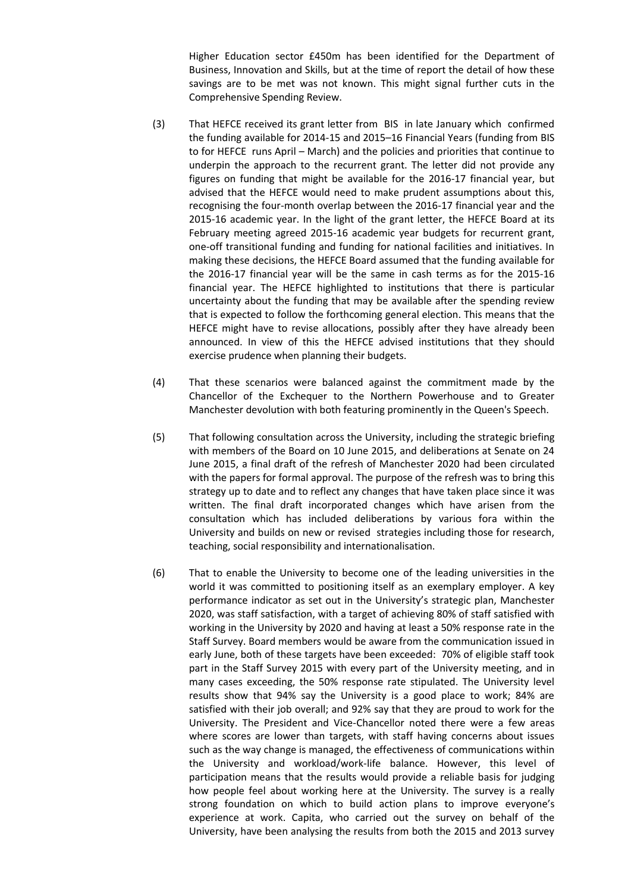Higher Education sector £450m has been identified for the Department of Business, Innovation and Skills, but at the time of report the detail of how these savings are to be met was not known. This might signal further cuts in the Comprehensive Spending Review.

- (3) That HEFCE received its grant letter from BIS in late January which confirmed the funding available for 2014-15 and 2015–16 Financial Years (funding from BIS to for HEFCE runs April – March) and the policies and priorities that continue to underpin the approach to the recurrent grant. The letter did not provide any figures on funding that might be available for the 2016-17 financial year, but advised that the HEFCE would need to make prudent assumptions about this, recognising the four-month overlap between the 2016-17 financial year and the 2015-16 academic year. In the light of the grant letter, the HEFCE Board at its February meeting agreed 2015-16 academic year budgets for recurrent grant, one-off transitional funding and funding for national facilities and initiatives. In making these decisions, the HEFCE Board assumed that the funding available for the 2016-17 financial year will be the same in cash terms as for the 2015-16 financial year. The HEFCE highlighted to institutions that there is particular uncertainty about the funding that may be available after the spending review that is expected to follow the forthcoming general election. This means that the HEFCE might have to revise allocations, possibly after they have already been announced. In view of this the HEFCE advised institutions that they should exercise prudence when planning their budgets.
- (4) That these scenarios were balanced against the commitment made by the Chancellor of the Exchequer to the Northern Powerhouse and to Greater Manchester devolution with both featuring prominently in the Queen's Speech.
- (5) That following consultation across the University, including the strategic briefing with members of the Board on 10 June 2015, and deliberations at Senate on 24 June 2015, a final draft of the refresh of Manchester 2020 had been circulated with the papers for formal approval. The purpose of the refresh was to bring this strategy up to date and to reflect any changes that have taken place since it was written. The final draft incorporated changes which have arisen from the consultation which has included deliberations by various fora within the University and builds on new or revised strategies including those for research, teaching, social responsibility and internationalisation.
- (6) That to enable the University to become one of the leading universities in the world it was committed to positioning itself as an exemplary employer. A key performance indicator as set out in the University's strategic plan, Manchester 2020, was staff satisfaction, with a target of achieving 80% of staff satisfied with working in the University by 2020 and having at least a 50% response rate in the Staff Survey. Board members would be aware from the communication issued in early June, both of these targets have been exceeded: 70% of eligible staff took part in the Staff Survey 2015 with every part of the University meeting, and in many cases exceeding, the 50% response rate stipulated. The University level results show that 94% say the University is a good place to work; 84% are satisfied with their job overall; and 92% say that they are proud to work for the University. The President and Vice-Chancellor noted there were a few areas where scores are lower than targets, with staff having concerns about issues such as the way change is managed, the effectiveness of communications within the University and workload/work-life balance. However, this level of participation means that the results would provide a reliable basis for judging how people feel about working here at the University. The survey is a really strong foundation on which to build action plans to improve everyone's experience at work. Capita, who carried out the survey on behalf of the University, have been analysing the results from both the 2015 and 2013 survey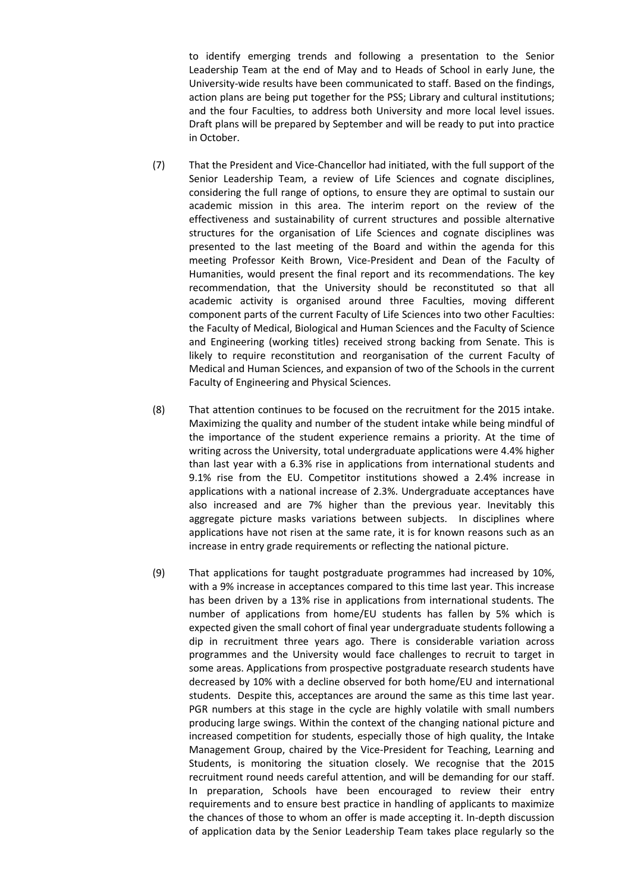to identify emerging trends and following a presentation to the Senior Leadership Team at the end of May and to Heads of School in early June, the University-wide results have been communicated to staff. Based on the findings, action plans are being put together for the PSS; Library and cultural institutions; and the four Faculties, to address both University and more local level issues. Draft plans will be prepared by September and will be ready to put into practice in October.

- (7) That the President and Vice-Chancellor had initiated, with the full support of the Senior Leadership Team, a review of Life Sciences and cognate disciplines, considering the full range of options, to ensure they are optimal to sustain our academic mission in this area. The interim report on the review of the effectiveness and sustainability of current structures and possible alternative structures for the organisation of Life Sciences and cognate disciplines was presented to the last meeting of the Board and within the agenda for this meeting Professor Keith Brown, Vice-President and Dean of the Faculty of Humanities, would present the final report and its recommendations. The key recommendation, that the University should be reconstituted so that all academic activity is organised around three Faculties, moving different component parts of the current Faculty of Life Sciences into two other Faculties: the Faculty of Medical, Biological and Human Sciences and the Faculty of Science and Engineering (working titles) received strong backing from Senate. This is likely to require reconstitution and reorganisation of the current Faculty of Medical and Human Sciences, and expansion of two of the Schools in the current Faculty of Engineering and Physical Sciences.
- (8) That attention continues to be focused on the recruitment for the 2015 intake. Maximizing the quality and number of the student intake while being mindful of the importance of the student experience remains a priority. At the time of writing across the University, total undergraduate applications were 4.4% higher than last year with a 6.3% rise in applications from international students and 9.1% rise from the EU. Competitor institutions showed a 2.4% increase in applications with a national increase of 2.3%. Undergraduate acceptances have also increased and are 7% higher than the previous year. Inevitably this aggregate picture masks variations between subjects. In disciplines where applications have not risen at the same rate, it is for known reasons such as an increase in entry grade requirements or reflecting the national picture.
- (9) That applications for taught postgraduate programmes had increased by 10%, with a 9% increase in acceptances compared to this time last year. This increase has been driven by a 13% rise in applications from international students. The number of applications from home/EU students has fallen by 5% which is expected given the small cohort of final year undergraduate students following a dip in recruitment three years ago. There is considerable variation across programmes and the University would face challenges to recruit to target in some areas. Applications from prospective postgraduate research students have decreased by 10% with a decline observed for both home/EU and international students. Despite this, acceptances are around the same as this time last year. PGR numbers at this stage in the cycle are highly volatile with small numbers producing large swings. Within the context of the changing national picture and increased competition for students, especially those of high quality, the Intake Management Group, chaired by the Vice-President for Teaching, Learning and Students, is monitoring the situation closely. We recognise that the 2015 recruitment round needs careful attention, and will be demanding for our staff. In preparation, Schools have been encouraged to review their entry requirements and to ensure best practice in handling of applicants to maximize the chances of those to whom an offer is made accepting it. In-depth discussion of application data by the Senior Leadership Team takes place regularly so the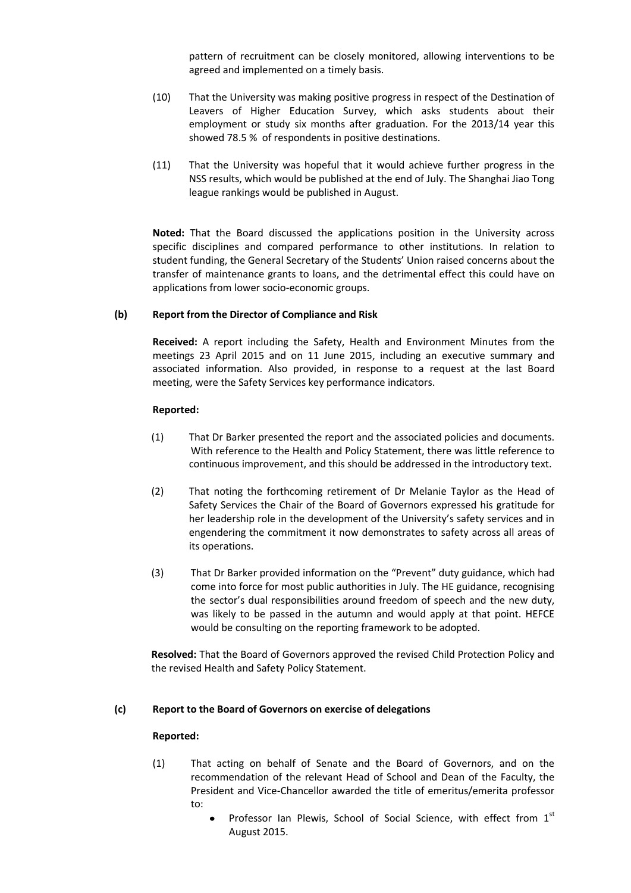pattern of recruitment can be closely monitored, allowing interventions to be agreed and implemented on a timely basis.

- (10) That the University was making positive progress in respect of the Destination of Leavers of Higher Education Survey, which asks students about their employment or study six months after graduation. For the 2013/14 year this showed 78.5 % of respondents in positive destinations.
- (11) That the University was hopeful that it would achieve further progress in the NSS results, which would be published at the end of July. The Shanghai Jiao Tong league rankings would be published in August.

**Noted:** That the Board discussed the applications position in the University across specific disciplines and compared performance to other institutions. In relation to student funding, the General Secretary of the Students' Union raised concerns about the transfer of maintenance grants to loans, and the detrimental effect this could have on applications from lower socio-economic groups.

## **(b) Report from the Director of Compliance and Risk**

**Received:** A report including the Safety, Health and Environment Minutes from the meetings 23 April 2015 and on 11 June 2015, including an executive summary and associated information. Also provided, in response to a request at the last Board meeting, were the Safety Services key performance indicators.

## **Reported:**

- (1) That Dr Barker presented the report and the associated policies and documents. With reference to the Health and Policy Statement, there was little reference to continuous improvement, and this should be addressed in the introductory text.
- (2) That noting the forthcoming retirement of Dr Melanie Taylor as the Head of Safety Services the Chair of the Board of Governors expressed his gratitude for her leadership role in the development of the University's safety services and in engendering the commitment it now demonstrates to safety across all areas of its operations.
- (3) That Dr Barker provided information on the "Prevent" duty guidance, which had come into force for most public authorities in July. The HE guidance, recognising the sector's dual responsibilities around freedom of speech and the new duty, was likely to be passed in the autumn and would apply at that point. HEFCE would be consulting on the reporting framework to be adopted.

**Resolved:** That the Board of Governors approved the revised Child Protection Policy and the revised Health and Safety Policy Statement.

## **(c) Report to the Board of Governors on exercise of delegations**

- (1) That acting on behalf of Senate and the Board of Governors, and on the recommendation of the relevant Head of School and Dean of the Faculty, the President and Vice-Chancellor awarded the title of emeritus/emerita professor to:
	- Professor Ian Plewis, School of Social Science, with effect from 1st August 2015.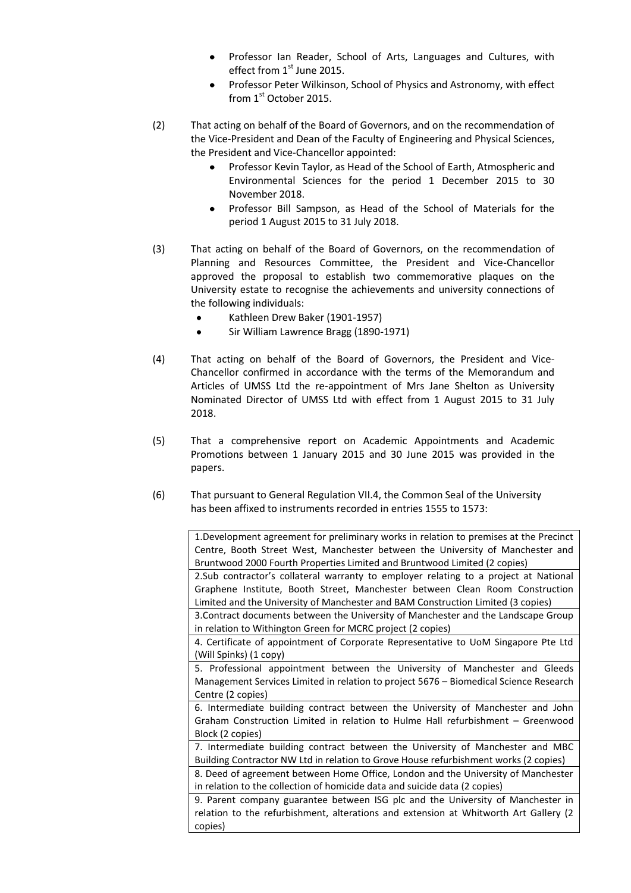- Professor Ian Reader, School of Arts, Languages and Cultures, with effect from 1st June 2015.
- Professor Peter Wilkinson, School of Physics and Astronomy, with effect from 1st October 2015.
- (2) That acting on behalf of the Board of Governors, and on the recommendation of the Vice-President and Dean of the Faculty of Engineering and Physical Sciences, the President and Vice-Chancellor appointed:
	- $\bullet$ Professor Kevin Taylor, as Head of the School of Earth, Atmospheric and Environmental Sciences for the period 1 December 2015 to 30 November 2018.
	- Professor Bill Sampson, as Head of the School of Materials for the period 1 August 2015 to 31 July 2018.
- (3) That acting on behalf of the Board of Governors, on the recommendation of Planning and Resources Committee, the President and Vice-Chancellor approved the proposal to establish two commemorative plaques on the University estate to recognise the achievements and university connections of the following individuals:
	- Kathleen Drew Baker (1901-1957)  $\bullet$
	- Sir William Lawrence Bragg (1890-1971)
- (4) That acting on behalf of the Board of Governors, the President and Vice-Chancellor confirmed in accordance with the terms of the Memorandum and Articles of UMSS Ltd the re-appointment of Mrs Jane Shelton as University Nominated Director of UMSS Ltd with effect from 1 August 2015 to 31 July 2018.
- (5) That a comprehensive report on Academic Appointments and Academic Promotions between 1 January 2015 and 30 June 2015 was provided in the papers.
- (6) That pursuant to General Regulation VII.4, the Common Seal of the University has been affixed to instruments recorded in entries 1555 to 1573:

1.Development agreement for preliminary works in relation to premises at the Precinct Centre, Booth Street West, Manchester between the University of Manchester and Bruntwood 2000 Fourth Properties Limited and Bruntwood Limited (2 copies)

2.Sub contractor's collateral warranty to employer relating to a project at National Graphene Institute, Booth Street, Manchester between Clean Room Construction Limited and the University of Manchester and BAM Construction Limited (3 copies)

3.Contract documents between the University of Manchester and the Landscape Group in relation to Withington Green for MCRC project (2 copies)

4. Certificate of appointment of Corporate Representative to UoM Singapore Pte Ltd (Will Spinks) (1 copy)

5. Professional appointment between the University of Manchester and Gleeds Management Services Limited in relation to project 5676 – Biomedical Science Research Centre (2 copies)

6. Intermediate building contract between the University of Manchester and John Graham Construction Limited in relation to Hulme Hall refurbishment – Greenwood Block (2 copies)

7. Intermediate building contract between the University of Manchester and MBC Building Contractor NW Ltd in relation to Grove House refurbishment works (2 copies)

8. Deed of agreement between Home Office, London and the University of Manchester in relation to the collection of homicide data and suicide data (2 copies)

9. Parent company guarantee between ISG plc and the University of Manchester in relation to the refurbishment, alterations and extension at Whitworth Art Gallery (2 copies)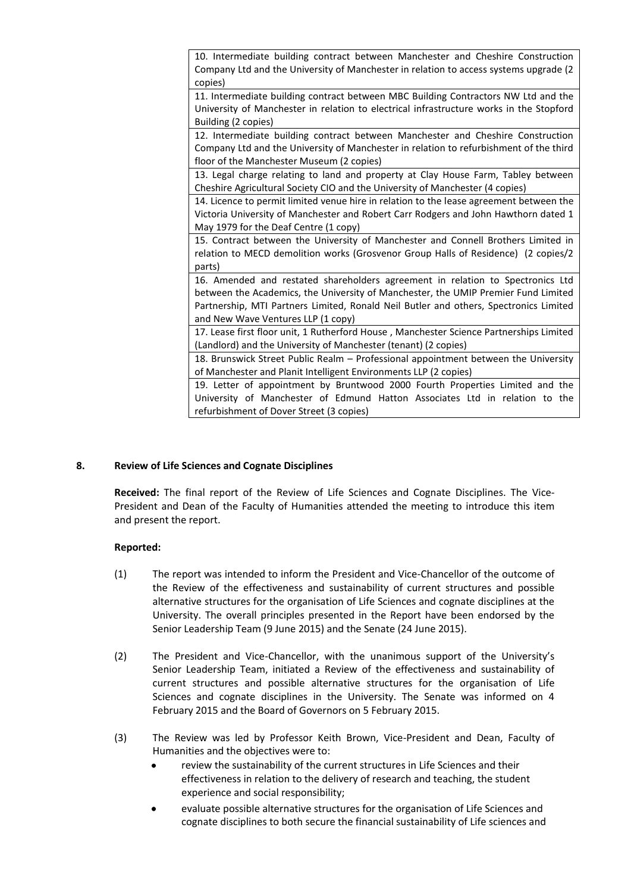10. Intermediate building contract between Manchester and Cheshire Construction Company Ltd and the University of Manchester in relation to access systems upgrade (2 copies)

11. Intermediate building contract between MBC Building Contractors NW Ltd and the University of Manchester in relation to electrical infrastructure works in the Stopford Building (2 copies)

12. Intermediate building contract between Manchester and Cheshire Construction Company Ltd and the University of Manchester in relation to refurbishment of the third floor of the Manchester Museum (2 copies)

13. Legal charge relating to land and property at Clay House Farm, Tabley between Cheshire Agricultural Society CIO and the University of Manchester (4 copies)

14. Licence to permit limited venue hire in relation to the lease agreement between the Victoria University of Manchester and Robert Carr Rodgers and John Hawthorn dated 1 May 1979 for the Deaf Centre (1 copy)

15. Contract between the University of Manchester and Connell Brothers Limited in relation to MECD demolition works (Grosvenor Group Halls of Residence) (2 copies/2 parts)

16. Amended and restated shareholders agreement in relation to Spectronics Ltd between the Academics, the University of Manchester, the UMIP Premier Fund Limited Partnership, MTI Partners Limited, Ronald Neil Butler and others, Spectronics Limited and New Wave Ventures LLP (1 copy)

17. Lease first floor unit, 1 Rutherford House , Manchester Science Partnerships Limited (Landlord) and the University of Manchester (tenant) (2 copies)

18. Brunswick Street Public Realm – Professional appointment between the University of Manchester and Planit Intelligent Environments LLP (2 copies)

19. Letter of appointment by Bruntwood 2000 Fourth Properties Limited and the University of Manchester of Edmund Hatton Associates Ltd in relation to the refurbishment of Dover Street (3 copies)

# **8. Review of Life Sciences and Cognate Disciplines**

**Received:** The final report of the Review of Life Sciences and Cognate Disciplines. The Vice-President and Dean of the Faculty of Humanities attended the meeting to introduce this item and present the report.

- (1) The report was intended to inform the President and Vice-Chancellor of the outcome of the Review of the effectiveness and sustainability of current structures and possible alternative structures for the organisation of Life Sciences and cognate disciplines at the University. The overall principles presented in the Report have been endorsed by the Senior Leadership Team (9 June 2015) and the Senate (24 June 2015).
- (2) The President and Vice-Chancellor, with the unanimous support of the University's Senior Leadership Team, initiated a Review of the effectiveness and sustainability of current structures and possible alternative structures for the organisation of Life Sciences and cognate disciplines in the University. The Senate was informed on 4 February 2015 and the Board of Governors on 5 February 2015.
- (3) The Review was led by Professor Keith Brown, Vice-President and Dean, Faculty of Humanities and the objectives were to:
	- $\bullet$ review the sustainability of the current structures in Life Sciences and their effectiveness in relation to the delivery of research and teaching, the student experience and social responsibility;
	- evaluate possible alternative structures for the organisation of Life Sciences and cognate disciplines to both secure the financial sustainability of Life sciences and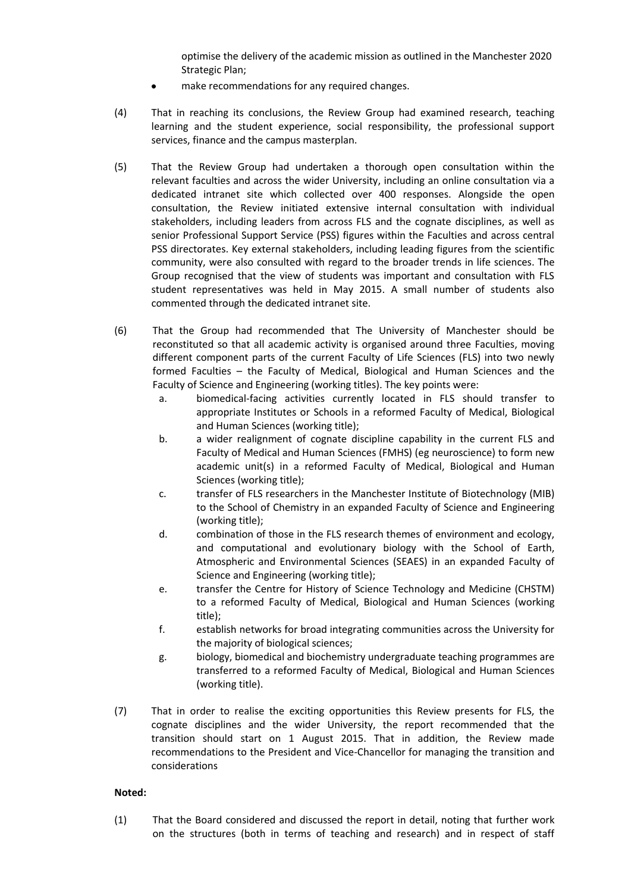optimise the delivery of the academic mission as outlined in the Manchester 2020 Strategic Plan;

- make recommendations for any required changes.
- (4) That in reaching its conclusions, the Review Group had examined research, teaching learning and the student experience, social responsibility, the professional support services, finance and the campus masterplan.
- (5) That the Review Group had undertaken a thorough open consultation within the relevant faculties and across the wider University, including an online consultation via a dedicated intranet site which collected over 400 responses. Alongside the open consultation, the Review initiated extensive internal consultation with individual stakeholders, including leaders from across FLS and the cognate disciplines, as well as senior Professional Support Service (PSS) figures within the Faculties and across central PSS directorates. Key external stakeholders, including leading figures from the scientific community, were also consulted with regard to the broader trends in life sciences. The Group recognised that the view of students was important and consultation with FLS student representatives was held in May 2015. A small number of students also commented through the dedicated intranet site.
- (6) That the Group had recommended that The University of Manchester should be reconstituted so that all academic activity is organised around three Faculties, moving different component parts of the current Faculty of Life Sciences (FLS) into two newly formed Faculties – the Faculty of Medical, Biological and Human Sciences and the Faculty of Science and Engineering (working titles). The key points were:
	- a. biomedical-facing activities currently located in FLS should transfer to appropriate Institutes or Schools in a reformed Faculty of Medical, Biological and Human Sciences (working title);
	- b. a wider realignment of cognate discipline capability in the current FLS and Faculty of Medical and Human Sciences (FMHS) (eg neuroscience) to form new academic unit(s) in a reformed Faculty of Medical, Biological and Human Sciences (working title);
	- c. transfer of FLS researchers in the Manchester Institute of Biotechnology (MIB) to the School of Chemistry in an expanded Faculty of Science and Engineering (working title);
	- d. combination of those in the FLS research themes of environment and ecology, and computational and evolutionary biology with the School of Earth, Atmospheric and Environmental Sciences (SEAES) in an expanded Faculty of Science and Engineering (working title);
	- e. transfer the Centre for History of Science Technology and Medicine (CHSTM) to a reformed Faculty of Medical, Biological and Human Sciences (working title);
	- f. establish networks for broad integrating communities across the University for the majority of biological sciences;
	- g. biology, biomedical and biochemistry undergraduate teaching programmes are transferred to a reformed Faculty of Medical, Biological and Human Sciences (working title).
- (7) That in order to realise the exciting opportunities this Review presents for FLS, the cognate disciplines and the wider University, the report recommended that the transition should start on 1 August 2015. That in addition, the Review made recommendations to the President and Vice-Chancellor for managing the transition and considerations

## **Noted:**

(1) That the Board considered and discussed the report in detail, noting that further work on the structures (both in terms of teaching and research) and in respect of staff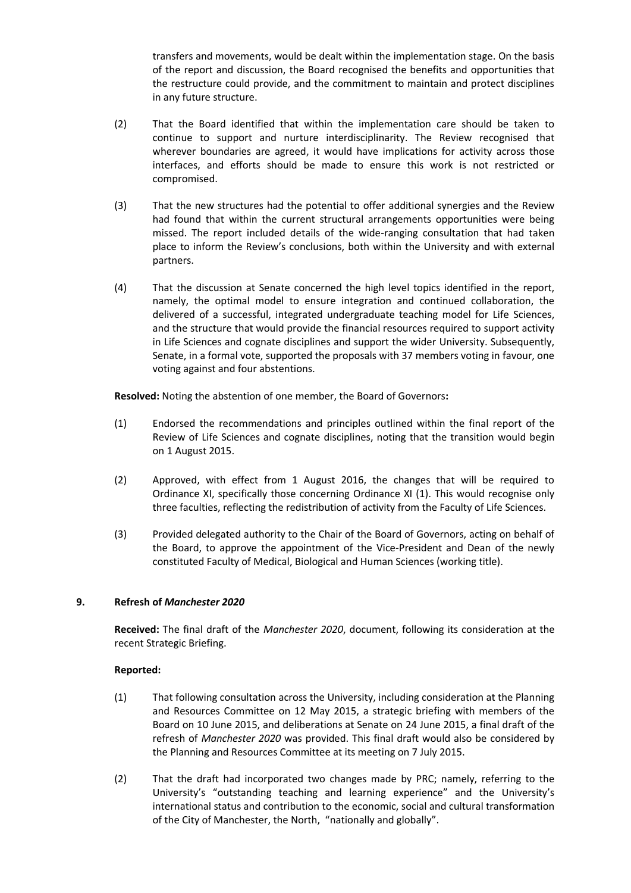transfers and movements, would be dealt within the implementation stage. On the basis of the report and discussion, the Board recognised the benefits and opportunities that the restructure could provide, and the commitment to maintain and protect disciplines in any future structure.

- (2) That the Board identified that within the implementation care should be taken to continue to support and nurture interdisciplinarity. The Review recognised that wherever boundaries are agreed, it would have implications for activity across those interfaces, and efforts should be made to ensure this work is not restricted or compromised.
- (3) That the new structures had the potential to offer additional synergies and the Review had found that within the current structural arrangements opportunities were being missed. The report included details of the wide-ranging consultation that had taken place to inform the Review's conclusions, both within the University and with external partners.
- (4) That the discussion at Senate concerned the high level topics identified in the report, namely, the optimal model to ensure integration and continued collaboration, the delivered of a successful, integrated undergraduate teaching model for Life Sciences, and the structure that would provide the financial resources required to support activity in Life Sciences and cognate disciplines and support the wider University. Subsequently, Senate, in a formal vote, supported the proposals with 37 members voting in favour, one voting against and four abstentions.

**Resolved:** Noting the abstention of one member, the Board of Governors**:**

- (1) Endorsed the recommendations and principles outlined within the final report of the Review of Life Sciences and cognate disciplines, noting that the transition would begin on 1 August 2015.
- (2) Approved, with effect from 1 August 2016, the changes that will be required to Ordinance XI, specifically those concerning Ordinance XI (1). This would recognise only three faculties, reflecting the redistribution of activity from the Faculty of Life Sciences.
- (3) Provided delegated authority to the Chair of the Board of Governors, acting on behalf of the Board, to approve the appointment of the Vice-President and Dean of the newly constituted Faculty of Medical, Biological and Human Sciences (working title).

# **9. Refresh of** *Manchester 2020*

**Received:** The final draft of the *Manchester 2020*, document, following its consideration at the recent Strategic Briefing.

- (1) That following consultation across the University, including consideration at the Planning and Resources Committee on 12 May 2015, a strategic briefing with members of the Board on 10 June 2015, and deliberations at Senate on 24 June 2015, a final draft of the refresh of *Manchester 2020* was provided. This final draft would also be considered by the Planning and Resources Committee at its meeting on 7 July 2015.
- (2) That the draft had incorporated two changes made by PRC; namely, referring to the University's "outstanding teaching and learning experience" and the University's international status and contribution to the economic, social and cultural transformation of the City of Manchester, the North, "nationally and globally".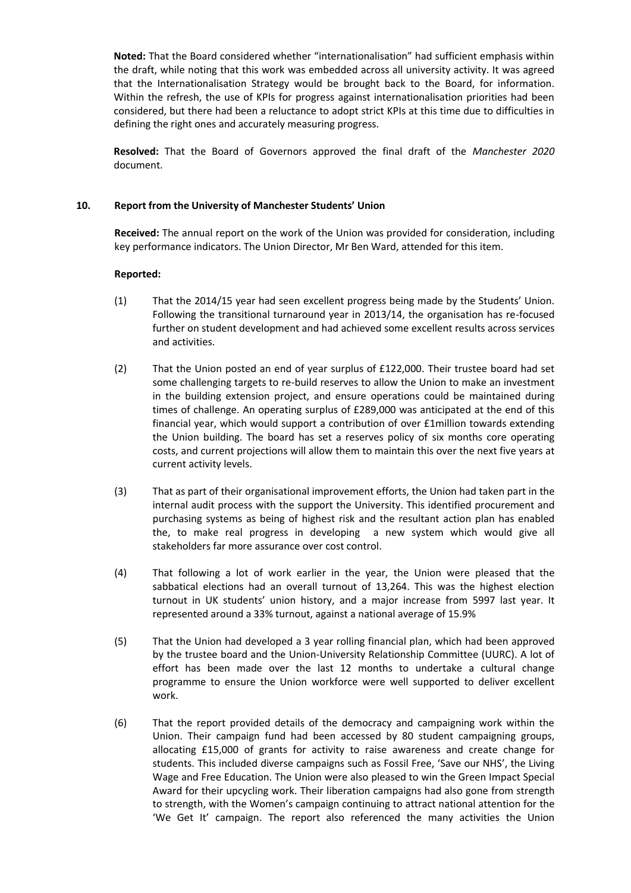**Noted:** That the Board considered whether "internationalisation" had sufficient emphasis within the draft, while noting that this work was embedded across all university activity. It was agreed that the Internationalisation Strategy would be brought back to the Board, for information. Within the refresh, the use of KPIs for progress against internationalisation priorities had been considered, but there had been a reluctance to adopt strict KPIs at this time due to difficulties in defining the right ones and accurately measuring progress.

**Resolved:** That the Board of Governors approved the final draft of the *Manchester 2020* document.

## **10. Report from the University of Manchester Students' Union**

**Received:** The annual report on the work of the Union was provided for consideration, including key performance indicators. The Union Director, Mr Ben Ward, attended for this item.

- (1) That the 2014/15 year had seen excellent progress being made by the Students' Union. Following the transitional turnaround year in 2013/14, the organisation has re-focused further on student development and had achieved some excellent results across services and activities.
- (2) That the Union posted an end of year surplus of £122,000. Their trustee board had set some challenging targets to re-build reserves to allow the Union to make an investment in the building extension project, and ensure operations could be maintained during times of challenge. An operating surplus of £289,000 was anticipated at the end of this financial year, which would support a contribution of over £1million towards extending the Union building. The board has set a reserves policy of six months core operating costs, and current projections will allow them to maintain this over the next five years at current activity levels.
- (3) That as part of their organisational improvement efforts, the Union had taken part in the internal audit process with the support the University. This identified procurement and purchasing systems as being of highest risk and the resultant action plan has enabled the, to make real progress in developing a new system which would give all stakeholders far more assurance over cost control.
- (4) That following a lot of work earlier in the year, the Union were pleased that the sabbatical elections had an overall turnout of 13,264. This was the highest election turnout in UK students' union history, and a major increase from 5997 last year. It represented around a 33% turnout, against a national average of 15.9%
- (5) That the Union had developed a 3 year rolling financial plan, which had been approved by the trustee board and the Union-University Relationship Committee (UURC). A lot of effort has been made over the last 12 months to undertake a cultural change programme to ensure the Union workforce were well supported to deliver excellent work.
- (6) That the report provided details of the democracy and campaigning work within the Union. Their campaign fund had been accessed by 80 student campaigning groups, allocating £15,000 of grants for activity to raise awareness and create change for students. This included diverse campaigns such as Fossil Free, 'Save our NHS', the Living Wage and Free Education. The Union were also pleased to win the Green Impact Special Award for their upcycling work. Their liberation campaigns had also gone from strength to strength, with the Women's campaign continuing to attract national attention for the 'We Get It' campaign. The report also referenced the many activities the Union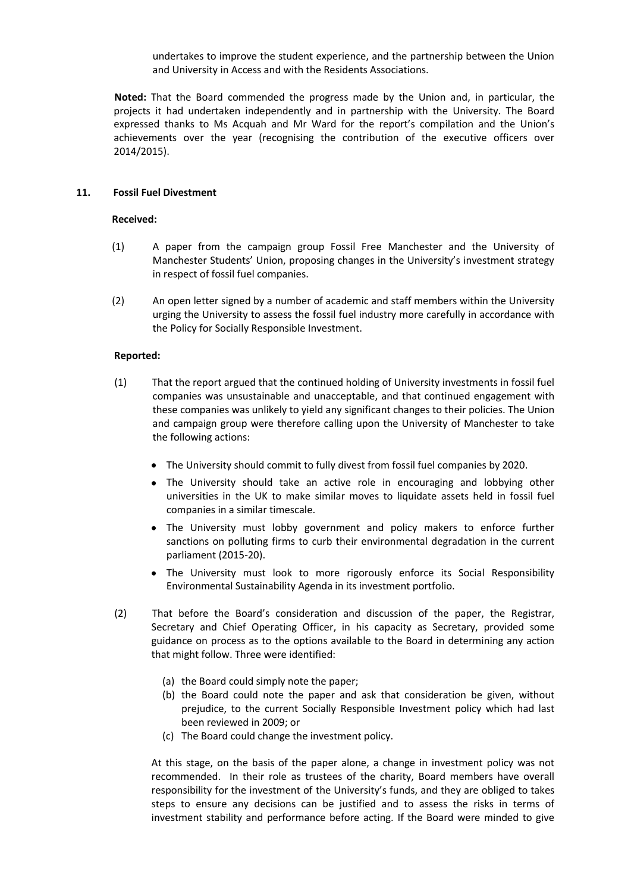undertakes to improve the student experience, and the partnership between the Union and University in Access and with the Residents Associations.

**Noted:** That the Board commended the progress made by the Union and, in particular, the projects it had undertaken independently and in partnership with the University. The Board expressed thanks to Ms Acquah and Mr Ward for the report's compilation and the Union's achievements over the year (recognising the contribution of the executive officers over 2014/2015).

## **11. Fossil Fuel Divestment**

## **Received:**

- (1) A paper from the campaign group Fossil Free Manchester and the University of Manchester Students' Union, proposing changes in the University's investment strategy in respect of fossil fuel companies.
- (2) An open letter signed by a number of academic and staff members within the University urging the University to assess the fossil fuel industry more carefully in accordance with the Policy for Socially Responsible Investment.

## **Reported:**

- (1) That the report argued that the continued holding of University investments in fossil fuel companies was unsustainable and unacceptable, and that continued engagement with these companies was unlikely to yield any significant changes to their policies. The Union and campaign group were therefore calling upon the University of Manchester to take the following actions:
	- The University should commit to fully divest from fossil fuel companies by 2020.
	- The University should take an active role in encouraging and lobbying other universities in the UK to make similar moves to liquidate assets held in fossil fuel companies in a similar timescale.
	- The University must lobby government and policy makers to enforce further sanctions on polluting firms to curb their environmental degradation in the current parliament (2015-20).
	- The University must look to more rigorously enforce its Social Responsibility Environmental Sustainability Agenda in its investment portfolio.
- (2) That before the Board's consideration and discussion of the paper, the Registrar, Secretary and Chief Operating Officer, in his capacity as Secretary, provided some guidance on process as to the options available to the Board in determining any action that might follow. Three were identified:
	- (a) the Board could simply note the paper;
	- (b) the Board could note the paper and ask that consideration be given, without prejudice, to the current Socially Responsible Investment policy which had last been reviewed in 2009; or
	- (c) The Board could change the investment policy.

At this stage, on the basis of the paper alone, a change in investment policy was not recommended. In their role as trustees of the charity, Board members have overall responsibility for the investment of the University's funds, and they are obliged to takes steps to ensure any decisions can be justified and to assess the risks in terms of investment stability and performance before acting. If the Board were minded to give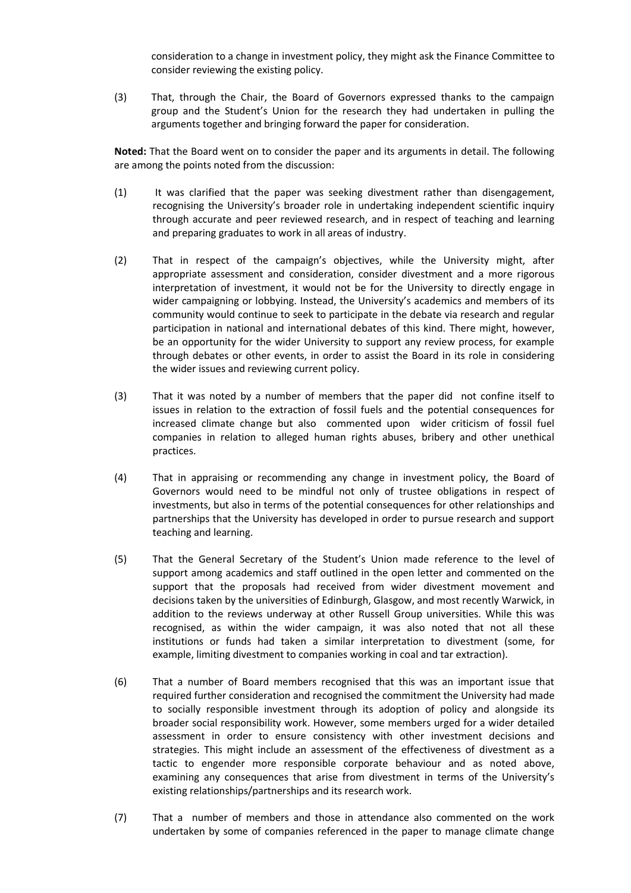consideration to a change in investment policy, they might ask the Finance Committee to consider reviewing the existing policy.

(3) That, through the Chair, the Board of Governors expressed thanks to the campaign group and the Student's Union for the research they had undertaken in pulling the arguments together and bringing forward the paper for consideration.

**Noted:** That the Board went on to consider the paper and its arguments in detail. The following are among the points noted from the discussion:

- (1) It was clarified that the paper was seeking divestment rather than disengagement, recognising the University's broader role in undertaking independent scientific inquiry through accurate and peer reviewed research, and in respect of teaching and learning and preparing graduates to work in all areas of industry.
- (2) That in respect of the campaign's objectives, while the University might, after appropriate assessment and consideration, consider divestment and a more rigorous interpretation of investment, it would not be for the University to directly engage in wider campaigning or lobbying. Instead, the University's academics and members of its community would continue to seek to participate in the debate via research and regular participation in national and international debates of this kind. There might, however, be an opportunity for the wider University to support any review process, for example through debates or other events, in order to assist the Board in its role in considering the wider issues and reviewing current policy.
- (3) That it was noted by a number of members that the paper did not confine itself to issues in relation to the extraction of fossil fuels and the potential consequences for increased climate change but also commented upon wider criticism of fossil fuel companies in relation to alleged human rights abuses, bribery and other unethical practices.
- (4) That in appraising or recommending any change in investment policy, the Board of Governors would need to be mindful not only of trustee obligations in respect of investments, but also in terms of the potential consequences for other relationships and partnerships that the University has developed in order to pursue research and support teaching and learning.
- (5) That the General Secretary of the Student's Union made reference to the level of support among academics and staff outlined in the open letter and commented on the support that the proposals had received from wider divestment movement and decisions taken by the universities of Edinburgh, Glasgow, and most recently Warwick, in addition to the reviews underway at other Russell Group universities. While this was recognised, as within the wider campaign, it was also noted that not all these institutions or funds had taken a similar interpretation to divestment (some, for example, limiting divestment to companies working in coal and tar extraction).
- (6) That a number of Board members recognised that this was an important issue that required further consideration and recognised the commitment the University had made to socially responsible investment through its adoption of policy and alongside its broader social responsibility work. However, some members urged for a wider detailed assessment in order to ensure consistency with other investment decisions and strategies. This might include an assessment of the effectiveness of divestment as a tactic to engender more responsible corporate behaviour and as noted above, examining any consequences that arise from divestment in terms of the University's existing relationships/partnerships and its research work.
- (7) That a number of members and those in attendance also commented on the work undertaken by some of companies referenced in the paper to manage climate change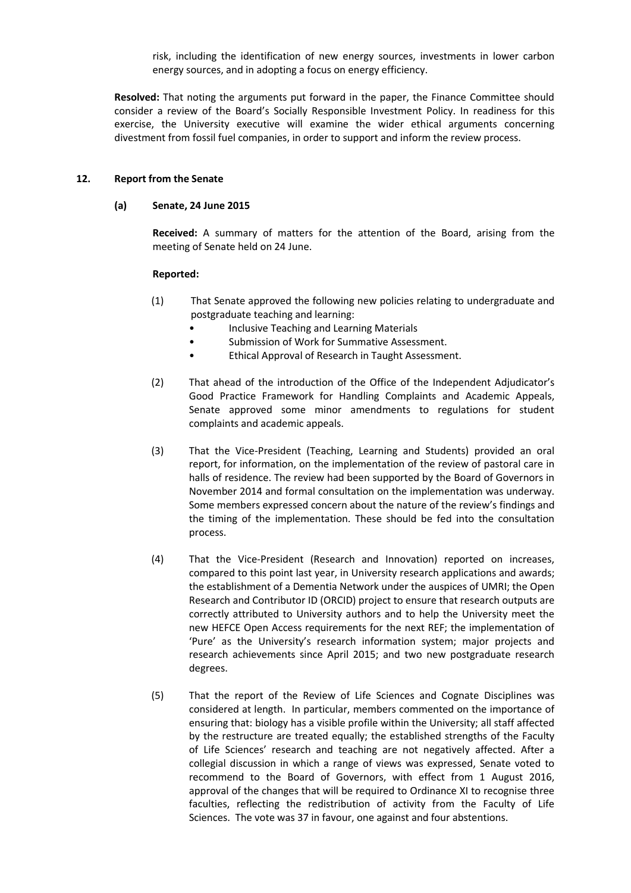risk, including the identification of new energy sources, investments in lower carbon energy sources, and in adopting a focus on energy efficiency.

**Resolved:** That noting the arguments put forward in the paper, the Finance Committee should consider a review of the Board's Socially Responsible Investment Policy. In readiness for this exercise, the University executive will examine the wider ethical arguments concerning divestment from fossil fuel companies, in order to support and inform the review process.

## **12. Report from the Senate**

## **(a) Senate, 24 June 2015**

**Received:** A summary of matters for the attention of the Board, arising from the meeting of Senate held on 24 June.

- (1) That Senate approved the following new policies relating to undergraduate and postgraduate teaching and learning:
	- Inclusive Teaching and Learning Materials
	- Submission of Work for Summative Assessment.
	- Ethical Approval of Research in Taught Assessment.
- (2) That ahead of the introduction of the Office of the Independent Adjudicator's Good Practice Framework for Handling Complaints and Academic Appeals, Senate approved some minor amendments to regulations for student complaints and academic appeals.
- (3) That the Vice-President (Teaching, Learning and Students) provided an oral report, for information, on the implementation of the review of pastoral care in halls of residence. The review had been supported by the Board of Governors in November 2014 and formal consultation on the implementation was underway. Some members expressed concern about the nature of the review's findings and the timing of the implementation. These should be fed into the consultation process.
- (4) That the Vice-President (Research and Innovation) reported on increases, compared to this point last year, in University research applications and awards; the establishment of a Dementia Network under the auspices of UMRI; the Open Research and Contributor ID (ORCID) project to ensure that research outputs are correctly attributed to University authors and to help the University meet the new HEFCE Open Access requirements for the next REF; the implementation of 'Pure' as the University's research information system; major projects and research achievements since April 2015; and two new postgraduate research degrees.
- (5) That the report of the Review of Life Sciences and Cognate Disciplines was considered at length. In particular, members commented on the importance of ensuring that: biology has a visible profile within the University; all staff affected by the restructure are treated equally; the established strengths of the Faculty of Life Sciences' research and teaching are not negatively affected. After a collegial discussion in which a range of views was expressed, Senate voted to recommend to the Board of Governors, with effect from 1 August 2016, approval of the changes that will be required to Ordinance XI to recognise three faculties, reflecting the redistribution of activity from the Faculty of Life Sciences. The vote was 37 in favour, one against and four abstentions.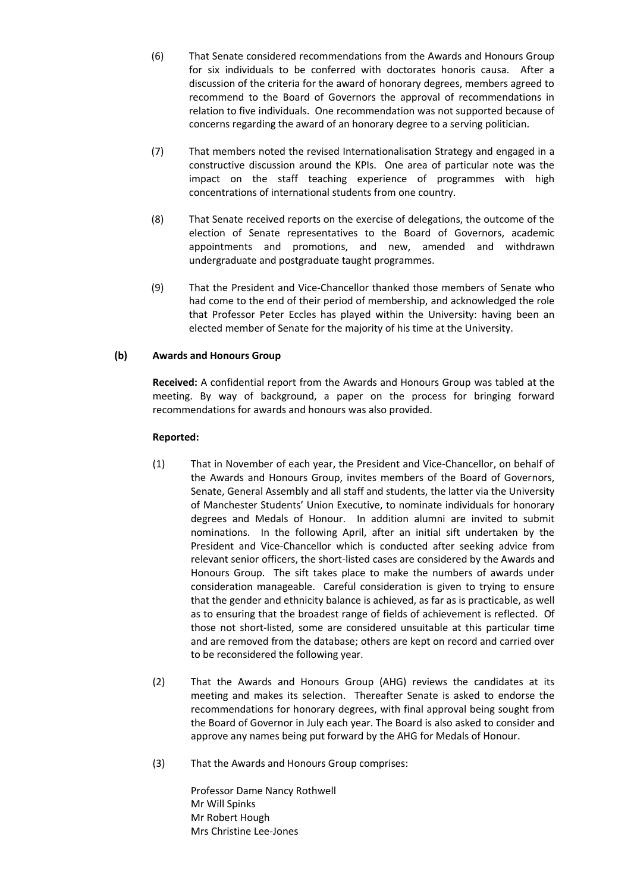- (6) That Senate considered recommendations from the Awards and Honours Group for six individuals to be conferred with doctorates honoris causa. After a discussion of the criteria for the award of honorary degrees, members agreed to recommend to the Board of Governors the approval of recommendations in relation to five individuals. One recommendation was not supported because of concerns regarding the award of an honorary degree to a serving politician.
- (7) That members noted the revised Internationalisation Strategy and engaged in a constructive discussion around the KPIs. One area of particular note was the impact on the staff teaching experience of programmes with high concentrations of international students from one country.
- (8) That Senate received reports on the exercise of delegations, the outcome of the election of Senate representatives to the Board of Governors, academic appointments and promotions, and new, amended and withdrawn undergraduate and postgraduate taught programmes.
- (9) That the President and Vice-Chancellor thanked those members of Senate who had come to the end of their period of membership, and acknowledged the role that Professor Peter Eccles has played within the University: having been an elected member of Senate for the majority of his time at the University.

# **(b) Awards and Honours Group**

**Received:** A confidential report from the Awards and Honours Group was tabled at the meeting. By way of background, a paper on the process for bringing forward recommendations for awards and honours was also provided.

# **Reported:**

- (1) That in November of each year, the President and Vice-Chancellor, on behalf of the Awards and Honours Group, invites members of the Board of Governors, Senate, General Assembly and all staff and students, the latter via the University of Manchester Students' Union Executive, to nominate individuals for honorary degrees and Medals of Honour. In addition alumni are invited to submit nominations. In the following April, after an initial sift undertaken by the President and Vice-Chancellor which is conducted after seeking advice from relevant senior officers, the short-listed cases are considered by the Awards and Honours Group. The sift takes place to make the numbers of awards under consideration manageable. Careful consideration is given to trying to ensure that the gender and ethnicity balance is achieved, as far as is practicable, as well as to ensuring that the broadest range of fields of achievement is reflected. Of those not short-listed, some are considered unsuitable at this particular time and are removed from the database; others are kept on record and carried over to be reconsidered the following year.
- (2) That the Awards and Honours Group (AHG) reviews the candidates at its meeting and makes its selection. Thereafter Senate is asked to endorse the recommendations for honorary degrees, with final approval being sought from the Board of Governor in July each year. The Board is also asked to consider and approve any names being put forward by the AHG for Medals of Honour.
- (3) That the Awards and Honours Group comprises:

Professor Dame Nancy Rothwell Mr Will Spinks Mr Robert Hough Mrs Christine Lee-Jones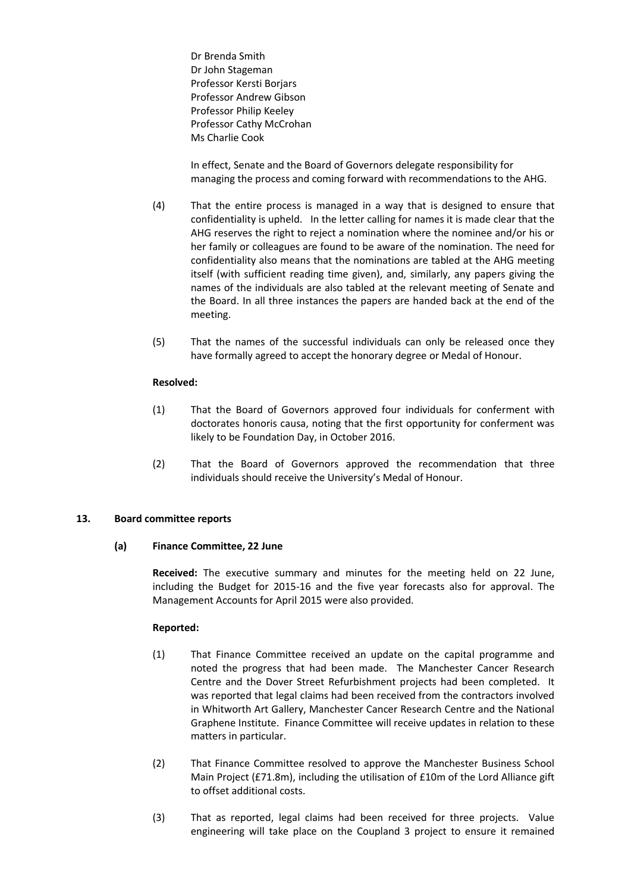Dr Brenda Smith Dr John Stageman Professor Kersti Borjars Professor Andrew Gibson Professor Philip Keeley Professor Cathy McCrohan Ms Charlie Cook

In effect, Senate and the Board of Governors delegate responsibility for managing the process and coming forward with recommendations to the AHG.

- (4) That the entire process is managed in a way that is designed to ensure that confidentiality is upheld. In the letter calling for names it is made clear that the AHG reserves the right to reject a nomination where the nominee and/or his or her family or colleagues are found to be aware of the nomination. The need for confidentiality also means that the nominations are tabled at the AHG meeting itself (with sufficient reading time given), and, similarly, any papers giving the names of the individuals are also tabled at the relevant meeting of Senate and the Board. In all three instances the papers are handed back at the end of the meeting.
- (5) That the names of the successful individuals can only be released once they have formally agreed to accept the honorary degree or Medal of Honour.

## **Resolved:**

- (1) That the Board of Governors approved four individuals for conferment with doctorates honoris causa, noting that the first opportunity for conferment was likely to be Foundation Day, in October 2016.
- (2) That the Board of Governors approved the recommendation that three individuals should receive the University's Medal of Honour.

## **13. Board committee reports**

## **(a) Finance Committee, 22 June**

**Received:** The executive summary and minutes for the meeting held on 22 June, including the Budget for 2015-16 and the five year forecasts also for approval. The Management Accounts for April 2015 were also provided.

- (1) That Finance Committee received an update on the capital programme and noted the progress that had been made. The Manchester Cancer Research Centre and the Dover Street Refurbishment projects had been completed. It was reported that legal claims had been received from the contractors involved in Whitworth Art Gallery, Manchester Cancer Research Centre and the National Graphene Institute. Finance Committee will receive updates in relation to these matters in particular.
- (2) That Finance Committee resolved to approve the Manchester Business School Main Project (£71.8m), including the utilisation of £10m of the Lord Alliance gift to offset additional costs.
- (3) That as reported, legal claims had been received for three projects. Value engineering will take place on the Coupland 3 project to ensure it remained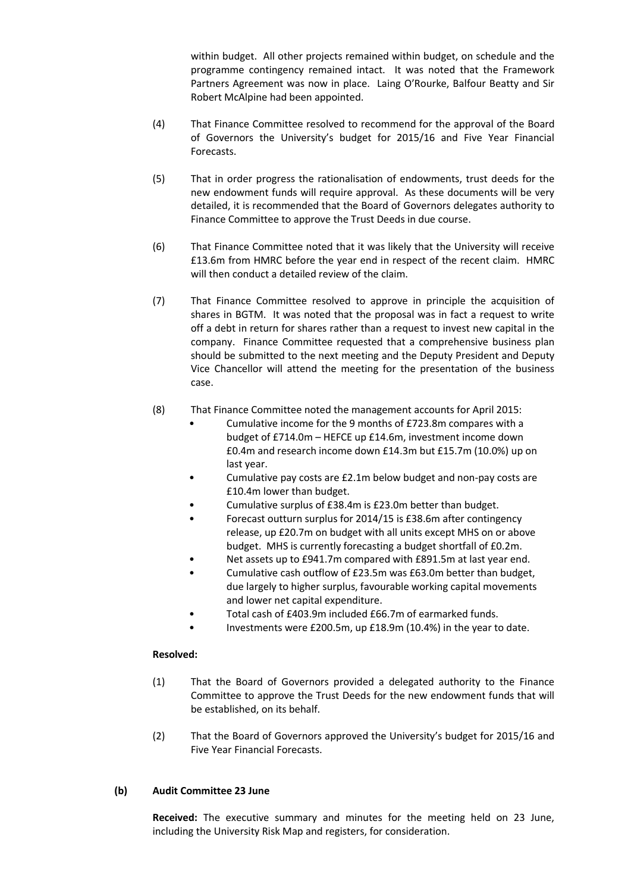within budget. All other projects remained within budget, on schedule and the programme contingency remained intact. It was noted that the Framework Partners Agreement was now in place. Laing O'Rourke, Balfour Beatty and Sir Robert McAlpine had been appointed.

- (4) That Finance Committee resolved to recommend for the approval of the Board of Governors the University's budget for 2015/16 and Five Year Financial Forecasts.
- (5) That in order progress the rationalisation of endowments, trust deeds for the new endowment funds will require approval. As these documents will be very detailed, it is recommended that the Board of Governors delegates authority to Finance Committee to approve the Trust Deeds in due course.
- (6) That Finance Committee noted that it was likely that the University will receive £13.6m from HMRC before the year end in respect of the recent claim. HMRC will then conduct a detailed review of the claim.
- (7) That Finance Committee resolved to approve in principle the acquisition of shares in BGTM. It was noted that the proposal was in fact a request to write off a debt in return for shares rather than a request to invest new capital in the company. Finance Committee requested that a comprehensive business plan should be submitted to the next meeting and the Deputy President and Deputy Vice Chancellor will attend the meeting for the presentation of the business case.
- (8) That Finance Committee noted the management accounts for April 2015:
	- Cumulative income for the 9 months of £723.8m compares with a budget of £714.0m – HEFCE up £14.6m, investment income down £0.4m and research income down £14.3m but £15.7m (10.0%) up on last year.
	- Cumulative pay costs are £2.1m below budget and non-pay costs are £10.4m lower than budget.
	- Cumulative surplus of £38.4m is £23.0m better than budget.
	- Forecast outturn surplus for 2014/15 is £38.6m after contingency release, up £20.7m on budget with all units except MHS on or above budget. MHS is currently forecasting a budget shortfall of £0.2m.
	- Net assets up to £941.7m compared with £891.5m at last year end.
	- Cumulative cash outflow of £23.5m was £63.0m better than budget, due largely to higher surplus, favourable working capital movements and lower net capital expenditure.
	- Total cash of £403.9m included £66.7m of earmarked funds.
	- Investments were £200.5m, up £18.9m (10.4%) in the year to date.

# **Resolved:**

- (1) That the Board of Governors provided a delegated authority to the Finance Committee to approve the Trust Deeds for the new endowment funds that will be established, on its behalf.
- (2) That the Board of Governors approved the University's budget for 2015/16 and Five Year Financial Forecasts.

# **(b) Audit Committee 23 June**

**Received:** The executive summary and minutes for the meeting held on 23 June, including the University Risk Map and registers, for consideration.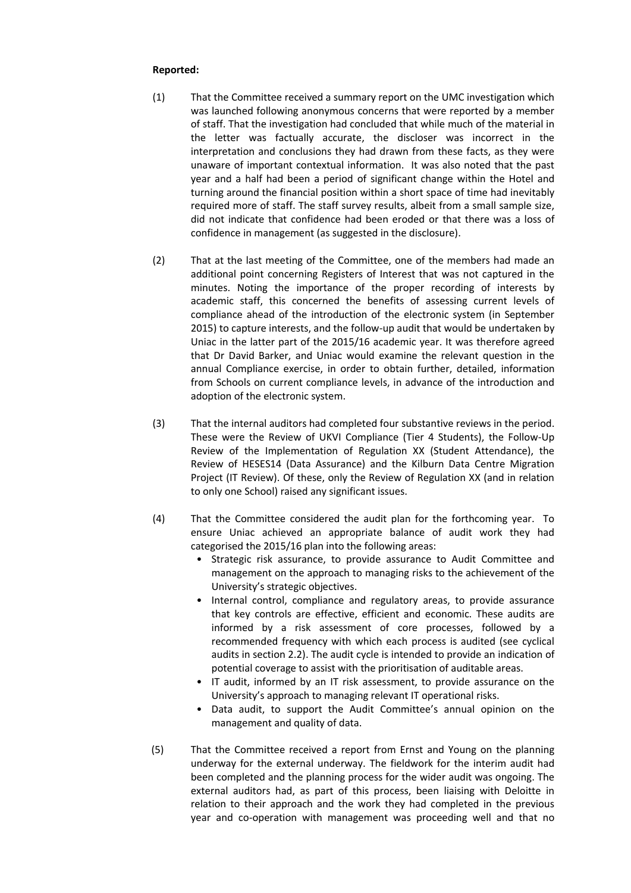- (1) That the Committee received a summary report on the UMC investigation which was launched following anonymous concerns that were reported by a member of staff. That the investigation had concluded that while much of the material in the letter was factually accurate, the discloser was incorrect in the interpretation and conclusions they had drawn from these facts, as they were unaware of important contextual information. It was also noted that the past year and a half had been a period of significant change within the Hotel and turning around the financial position within a short space of time had inevitably required more of staff. The staff survey results, albeit from a small sample size, did not indicate that confidence had been eroded or that there was a loss of confidence in management (as suggested in the disclosure).
- (2) That at the last meeting of the Committee, one of the members had made an additional point concerning Registers of Interest that was not captured in the minutes. Noting the importance of the proper recording of interests by academic staff, this concerned the benefits of assessing current levels of compliance ahead of the introduction of the electronic system (in September 2015) to capture interests, and the follow-up audit that would be undertaken by Uniac in the latter part of the 2015/16 academic year. It was therefore agreed that Dr David Barker, and Uniac would examine the relevant question in the annual Compliance exercise, in order to obtain further, detailed, information from Schools on current compliance levels, in advance of the introduction and adoption of the electronic system.
- (3) That the internal auditors had completed four substantive reviews in the period. These were the Review of UKVI Compliance (Tier 4 Students), the Follow-Up Review of the Implementation of Regulation XX (Student Attendance), the Review of HESES14 (Data Assurance) and the Kilburn Data Centre Migration Project (IT Review). Of these, only the Review of Regulation XX (and in relation to only one School) raised any significant issues.
- (4) That the Committee considered the audit plan for the forthcoming year. To ensure Uniac achieved an appropriate balance of audit work they had categorised the 2015/16 plan into the following areas:
	- Strategic risk assurance, to provide assurance to Audit Committee and management on the approach to managing risks to the achievement of the University's strategic objectives.
	- Internal control, compliance and regulatory areas, to provide assurance that key controls are effective, efficient and economic. These audits are informed by a risk assessment of core processes, followed by a recommended frequency with which each process is audited (see cyclical audits in section 2.2). The audit cycle is intended to provide an indication of potential coverage to assist with the prioritisation of auditable areas.
	- IT audit, informed by an IT risk assessment, to provide assurance on the University's approach to managing relevant IT operational risks.
	- Data audit, to support the Audit Committee's annual opinion on the management and quality of data.
- (5) That the Committee received a report from Ernst and Young on the planning underway for the external underway. The fieldwork for the interim audit had been completed and the planning process for the wider audit was ongoing. The external auditors had, as part of this process, been liaising with Deloitte in relation to their approach and the work they had completed in the previous year and co-operation with management was proceeding well and that no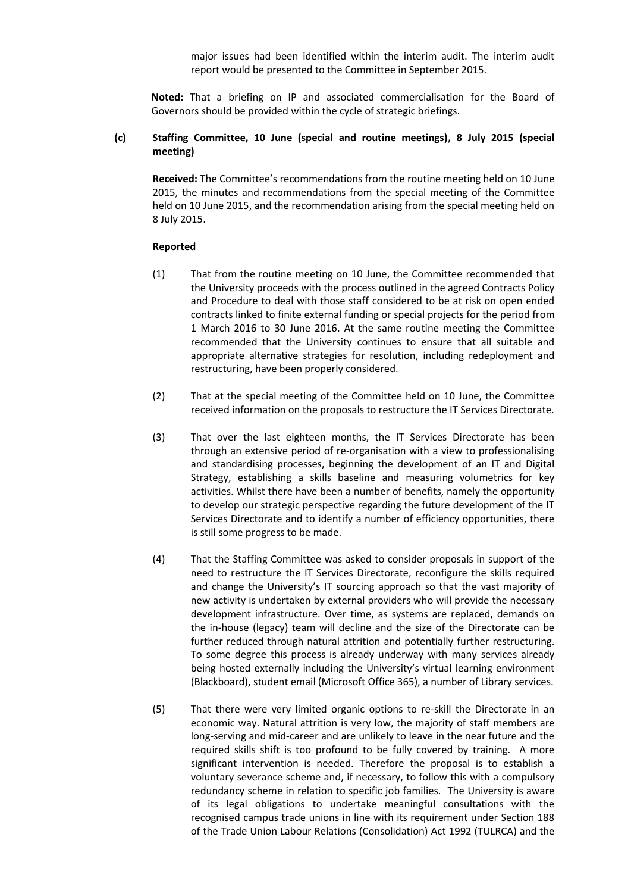major issues had been identified within the interim audit. The interim audit report would be presented to the Committee in September 2015.

**Noted:** That a briefing on IP and associated commercialisation for the Board of Governors should be provided within the cycle of strategic briefings.

## **(c) Staffing Committee, 10 June (special and routine meetings), 8 July 2015 (special meeting)**

**Received:** The Committee's recommendations from the routine meeting held on 10 June 2015, the minutes and recommendations from the special meeting of the Committee held on 10 June 2015, and the recommendation arising from the special meeting held on 8 July 2015.

- (1) That from the routine meeting on 10 June, the Committee recommended that the University proceeds with the process outlined in the agreed Contracts Policy and Procedure to deal with those staff considered to be at risk on open ended contracts linked to finite external funding or special projects for the period from 1 March 2016 to 30 June 2016. At the same routine meeting the Committee recommended that the University continues to ensure that all suitable and appropriate alternative strategies for resolution, including redeployment and restructuring, have been properly considered.
- (2) That at the special meeting of the Committee held on 10 June, the Committee received information on the proposals to restructure the IT Services Directorate.
- (3) That over the last eighteen months, the IT Services Directorate has been through an extensive period of re-organisation with a view to professionalising and standardising processes, beginning the development of an IT and Digital Strategy, establishing a skills baseline and measuring volumetrics for key activities. Whilst there have been a number of benefits, namely the opportunity to develop our strategic perspective regarding the future development of the IT Services Directorate and to identify a number of efficiency opportunities, there is still some progress to be made.
- (4) That the Staffing Committee was asked to consider proposals in support of the need to restructure the IT Services Directorate, reconfigure the skills required and change the University's IT sourcing approach so that the vast majority of new activity is undertaken by external providers who will provide the necessary development infrastructure. Over time, as systems are replaced, demands on the in-house (legacy) team will decline and the size of the Directorate can be further reduced through natural attrition and potentially further restructuring. To some degree this process is already underway with many services already being hosted externally including the University's virtual learning environment (Blackboard), student email (Microsoft Office 365), a number of Library services.
- (5) That there were very limited organic options to re-skill the Directorate in an economic way. Natural attrition is very low, the majority of staff members are long-serving and mid-career and are unlikely to leave in the near future and the required skills shift is too profound to be fully covered by training. A more significant intervention is needed. Therefore the proposal is to establish a voluntary severance scheme and, if necessary, to follow this with a compulsory redundancy scheme in relation to specific job families. The University is aware of its legal obligations to undertake meaningful consultations with the recognised campus trade unions in line with its requirement under Section 188 of the Trade Union Labour Relations (Consolidation) Act 1992 (TULRCA) and the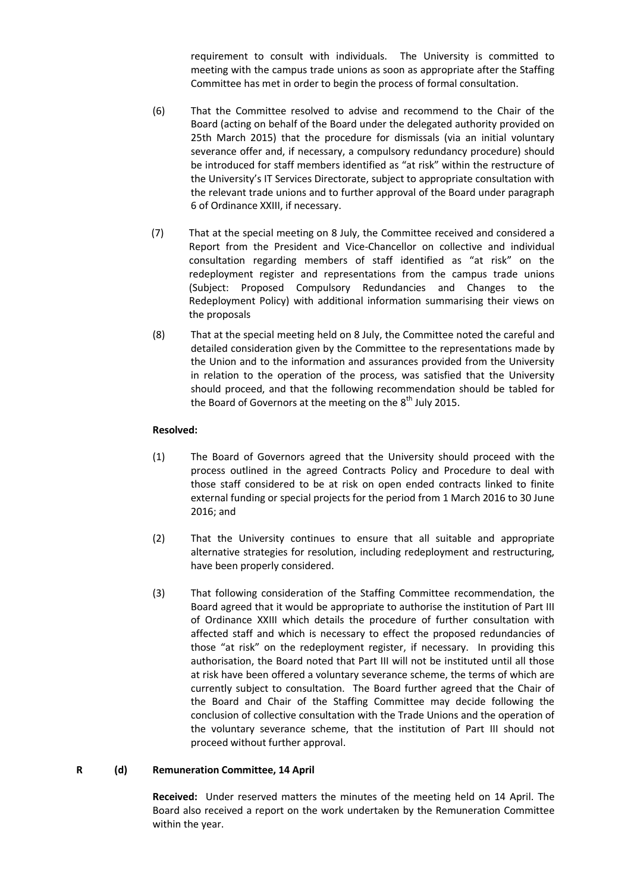requirement to consult with individuals. The University is committed to meeting with the campus trade unions as soon as appropriate after the Staffing Committee has met in order to begin the process of formal consultation.

- (6) That the Committee resolved to advise and recommend to the Chair of the Board (acting on behalf of the Board under the delegated authority provided on 25th March 2015) that the procedure for dismissals (via an initial voluntary severance offer and, if necessary, a compulsory redundancy procedure) should be introduced for staff members identified as "at risk" within the restructure of the University's IT Services Directorate, subject to appropriate consultation with the relevant trade unions and to further approval of the Board under paragraph 6 of Ordinance XXIII, if necessary.
- (7) That at the special meeting on 8 July, the Committee received and considered a Report from the President and Vice-Chancellor on collective and individual consultation regarding members of staff identified as "at risk" on the redeployment register and representations from the campus trade unions (Subject: Proposed Compulsory Redundancies and Changes to the Redeployment Policy) with additional information summarising their views on the proposals
- (8) That at the special meeting held on 8 July, the Committee noted the careful and detailed consideration given by the Committee to the representations made by the Union and to the information and assurances provided from the University in relation to the operation of the process, was satisfied that the University should proceed, and that the following recommendation should be tabled for the Board of Governors at the meeting on the  $8<sup>th</sup>$  July 2015.

## **Resolved:**

- (1) The Board of Governors agreed that the University should proceed with the process outlined in the agreed Contracts Policy and Procedure to deal with those staff considered to be at risk on open ended contracts linked to finite external funding or special projects for the period from 1 March 2016 to 30 June 2016; and
- (2) That the University continues to ensure that all suitable and appropriate alternative strategies for resolution, including redeployment and restructuring, have been properly considered.
- (3) That following consideration of the Staffing Committee recommendation, the Board agreed that it would be appropriate to authorise the institution of Part III of Ordinance XXIII which details the procedure of further consultation with affected staff and which is necessary to effect the proposed redundancies of those "at risk" on the redeployment register, if necessary. In providing this authorisation, the Board noted that Part III will not be instituted until all those at risk have been offered a voluntary severance scheme, the terms of which are currently subject to consultation. The Board further agreed that the Chair of the Board and Chair of the Staffing Committee may decide following the conclusion of collective consultation with the Trade Unions and the operation of the voluntary severance scheme, that the institution of Part III should not proceed without further approval.

## **R (d) Remuneration Committee, 14 April**

**Received:** Under reserved matters the minutes of the meeting held on 14 April. The Board also received a report on the work undertaken by the Remuneration Committee within the year.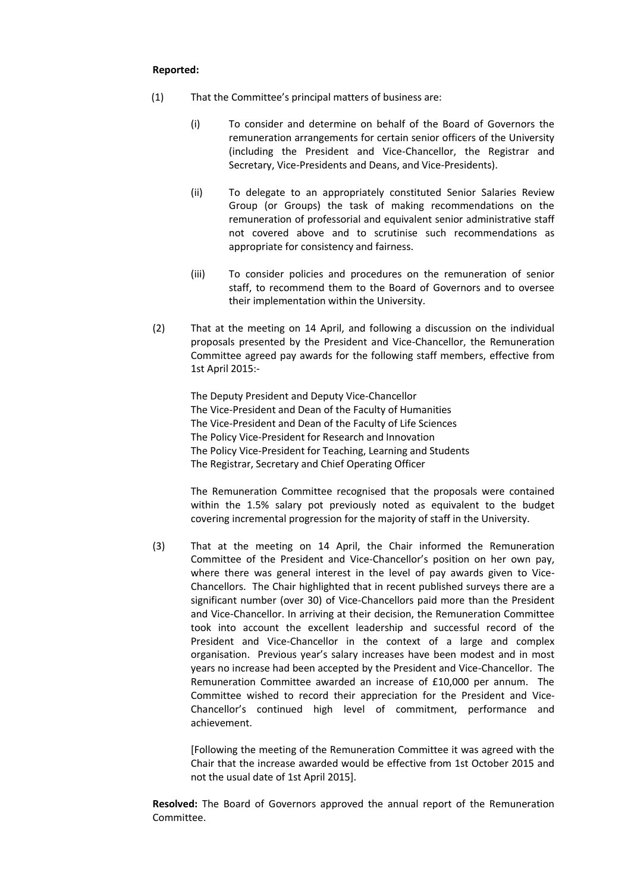## **Reported:**

- (1) That the Committee's principal matters of business are:
	- (i) To consider and determine on behalf of the Board of Governors the remuneration arrangements for certain senior officers of the University (including the President and Vice-Chancellor, the Registrar and Secretary, Vice-Presidents and Deans, and Vice-Presidents).
	- (ii) To delegate to an appropriately constituted Senior Salaries Review Group (or Groups) the task of making recommendations on the remuneration of professorial and equivalent senior administrative staff not covered above and to scrutinise such recommendations as appropriate for consistency and fairness.
	- (iii) To consider policies and procedures on the remuneration of senior staff, to recommend them to the Board of Governors and to oversee their implementation within the University.
- (2) That at the meeting on 14 April, and following a discussion on the individual proposals presented by the President and Vice-Chancellor, the Remuneration Committee agreed pay awards for the following staff members, effective from 1st April 2015:-

The Deputy President and Deputy Vice-Chancellor The Vice-President and Dean of the Faculty of Humanities The Vice-President and Dean of the Faculty of Life Sciences The Policy Vice-President for Research and Innovation The Policy Vice-President for Teaching, Learning and Students The Registrar, Secretary and Chief Operating Officer

The Remuneration Committee recognised that the proposals were contained within the 1.5% salary pot previously noted as equivalent to the budget covering incremental progression for the majority of staff in the University.

(3) That at the meeting on 14 April, the Chair informed the Remuneration Committee of the President and Vice-Chancellor's position on her own pay, where there was general interest in the level of pay awards given to Vice-Chancellors. The Chair highlighted that in recent published surveys there are a significant number (over 30) of Vice-Chancellors paid more than the President and Vice-Chancellor. In arriving at their decision, the Remuneration Committee took into account the excellent leadership and successful record of the President and Vice-Chancellor in the context of a large and complex organisation. Previous year's salary increases have been modest and in most years no increase had been accepted by the President and Vice-Chancellor. The Remuneration Committee awarded an increase of £10,000 per annum. The Committee wished to record their appreciation for the President and Vice-Chancellor's continued high level of commitment, performance and achievement.

[Following the meeting of the Remuneration Committee it was agreed with the Chair that the increase awarded would be effective from 1st October 2015 and not the usual date of 1st April 2015].

**Resolved:** The Board of Governors approved the annual report of the Remuneration Committee.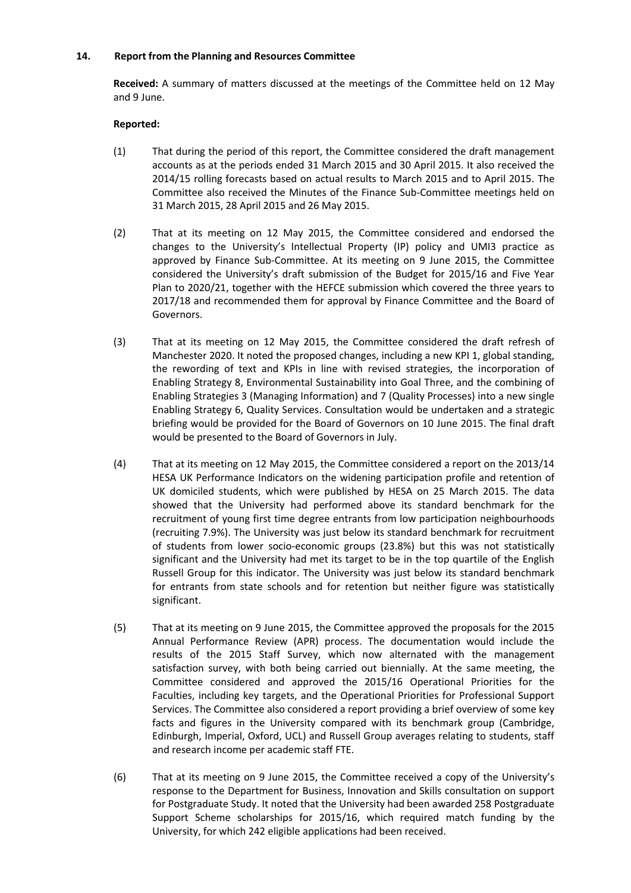## **14. Report from the Planning and Resources Committee**

**Received:** A summary of matters discussed at the meetings of the Committee held on 12 May and 9 June.

- (1) That during the period of this report, the Committee considered the draft management accounts as at the periods ended 31 March 2015 and 30 April 2015. It also received the 2014/15 rolling forecasts based on actual results to March 2015 and to April 2015. The Committee also received the Minutes of the Finance Sub-Committee meetings held on 31 March 2015, 28 April 2015 and 26 May 2015.
- (2) That at its meeting on 12 May 2015, the Committee considered and endorsed the changes to the University's Intellectual Property (IP) policy and UMI3 practice as approved by Finance Sub-Committee. At its meeting on 9 June 2015, the Committee considered the University's draft submission of the Budget for 2015/16 and Five Year Plan to 2020/21, together with the HEFCE submission which covered the three years to 2017/18 and recommended them for approval by Finance Committee and the Board of Governors.
- (3) That at its meeting on 12 May 2015, the Committee considered the draft refresh of Manchester 2020. It noted the proposed changes, including a new KPI 1, global standing, the rewording of text and KPIs in line with revised strategies, the incorporation of Enabling Strategy 8, Environmental Sustainability into Goal Three, and the combining of Enabling Strategies 3 (Managing Information) and 7 (Quality Processes) into a new single Enabling Strategy 6, Quality Services. Consultation would be undertaken and a strategic briefing would be provided for the Board of Governors on 10 June 2015. The final draft would be presented to the Board of Governors in July.
- (4) That at its meeting on 12 May 2015, the Committee considered a report on the 2013/14 HESA UK Performance Indicators on the widening participation profile and retention of UK domiciled students, which were published by HESA on 25 March 2015. The data showed that the University had performed above its standard benchmark for the recruitment of young first time degree entrants from low participation neighbourhoods (recruiting 7.9%). The University was just below its standard benchmark for recruitment of students from lower socio-economic groups (23.8%) but this was not statistically significant and the University had met its target to be in the top quartile of the English Russell Group for this indicator. The University was just below its standard benchmark for entrants from state schools and for retention but neither figure was statistically significant.
- (5) That at its meeting on 9 June 2015, the Committee approved the proposals for the 2015 Annual Performance Review (APR) process. The documentation would include the results of the 2015 Staff Survey, which now alternated with the management satisfaction survey, with both being carried out biennially. At the same meeting, the Committee considered and approved the 2015/16 Operational Priorities for the Faculties, including key targets, and the Operational Priorities for Professional Support Services. The Committee also considered a report providing a brief overview of some key facts and figures in the University compared with its benchmark group (Cambridge, Edinburgh, Imperial, Oxford, UCL) and Russell Group averages relating to students, staff and research income per academic staff FTE.
- (6) That at its meeting on 9 June 2015, the Committee received a copy of the University's response to the Department for Business, Innovation and Skills consultation on support for Postgraduate Study. It noted that the University had been awarded 258 Postgraduate Support Scheme scholarships for 2015/16, which required match funding by the University, for which 242 eligible applications had been received.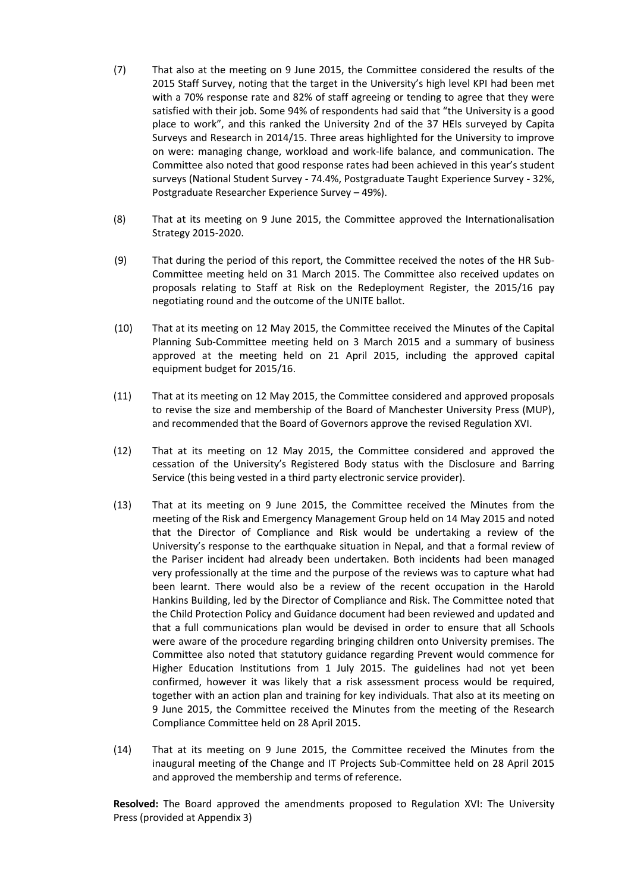- (7) That also at the meeting on 9 June 2015, the Committee considered the results of the 2015 Staff Survey, noting that the target in the University's high level KPI had been met with a 70% response rate and 82% of staff agreeing or tending to agree that they were satisfied with their job. Some 94% of respondents had said that "the University is a good place to work", and this ranked the University 2nd of the 37 HEIs surveyed by Capita Surveys and Research in 2014/15. Three areas highlighted for the University to improve on were: managing change, workload and work-life balance, and communication. The Committee also noted that good response rates had been achieved in this year's student surveys (National Student Survey - 74.4%, Postgraduate Taught Experience Survey - 32%, Postgraduate Researcher Experience Survey – 49%).
- (8) That at its meeting on 9 June 2015, the Committee approved the Internationalisation Strategy 2015-2020.
- (9) That during the period of this report, the Committee received the notes of the HR Sub-Committee meeting held on 31 March 2015. The Committee also received updates on proposals relating to Staff at Risk on the Redeployment Register, the 2015/16 pay negotiating round and the outcome of the UNITE ballot.
- (10) That at its meeting on 12 May 2015, the Committee received the Minutes of the Capital Planning Sub-Committee meeting held on 3 March 2015 and a summary of business approved at the meeting held on 21 April 2015, including the approved capital equipment budget for 2015/16.
- (11) That at its meeting on 12 May 2015, the Committee considered and approved proposals to revise the size and membership of the Board of Manchester University Press (MUP), and recommended that the Board of Governors approve the revised Regulation XVI.
- (12) That at its meeting on 12 May 2015, the Committee considered and approved the cessation of the University's Registered Body status with the Disclosure and Barring Service (this being vested in a third party electronic service provider).
- (13) That at its meeting on 9 June 2015, the Committee received the Minutes from the meeting of the Risk and Emergency Management Group held on 14 May 2015 and noted that the Director of Compliance and Risk would be undertaking a review of the University's response to the earthquake situation in Nepal, and that a formal review of the Pariser incident had already been undertaken. Both incidents had been managed very professionally at the time and the purpose of the reviews was to capture what had been learnt. There would also be a review of the recent occupation in the Harold Hankins Building, led by the Director of Compliance and Risk. The Committee noted that the Child Protection Policy and Guidance document had been reviewed and updated and that a full communications plan would be devised in order to ensure that all Schools were aware of the procedure regarding bringing children onto University premises. The Committee also noted that statutory guidance regarding Prevent would commence for Higher Education Institutions from 1 July 2015. The guidelines had not yet been confirmed, however it was likely that a risk assessment process would be required, together with an action plan and training for key individuals. That also at its meeting on 9 June 2015, the Committee received the Minutes from the meeting of the Research Compliance Committee held on 28 April 2015.
- (14) That at its meeting on 9 June 2015, the Committee received the Minutes from the inaugural meeting of the Change and IT Projects Sub-Committee held on 28 April 2015 and approved the membership and terms of reference.

**Resolved:** The Board approved the amendments proposed to Regulation XVI: The University Press (provided at Appendix 3)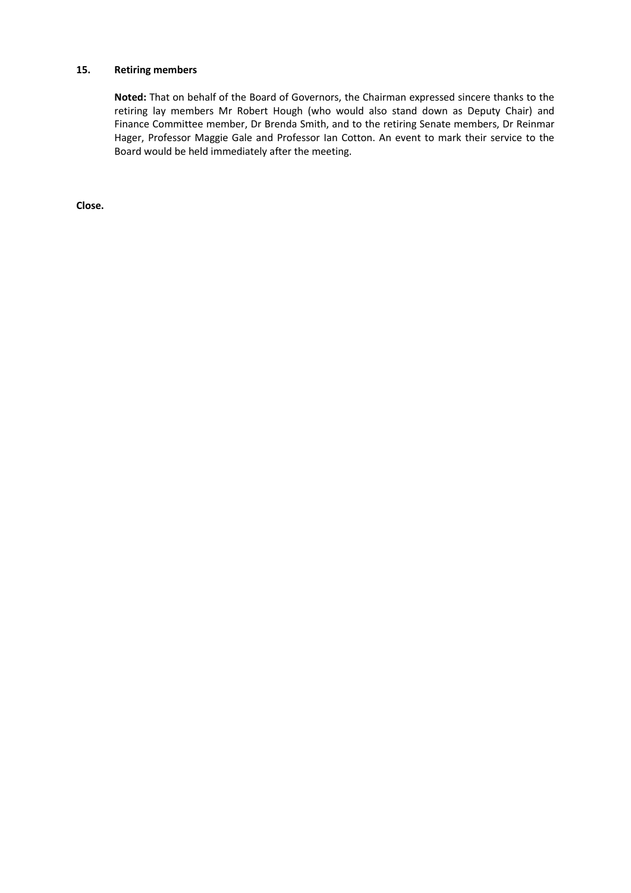# **15. Retiring members**

**Noted:** That on behalf of the Board of Governors, the Chairman expressed sincere thanks to the retiring lay members Mr Robert Hough (who would also stand down as Deputy Chair) and Finance Committee member, Dr Brenda Smith, and to the retiring Senate members, Dr Reinmar Hager, Professor Maggie Gale and Professor Ian Cotton. An event to mark their service to the Board would be held immediately after the meeting.

**Close.**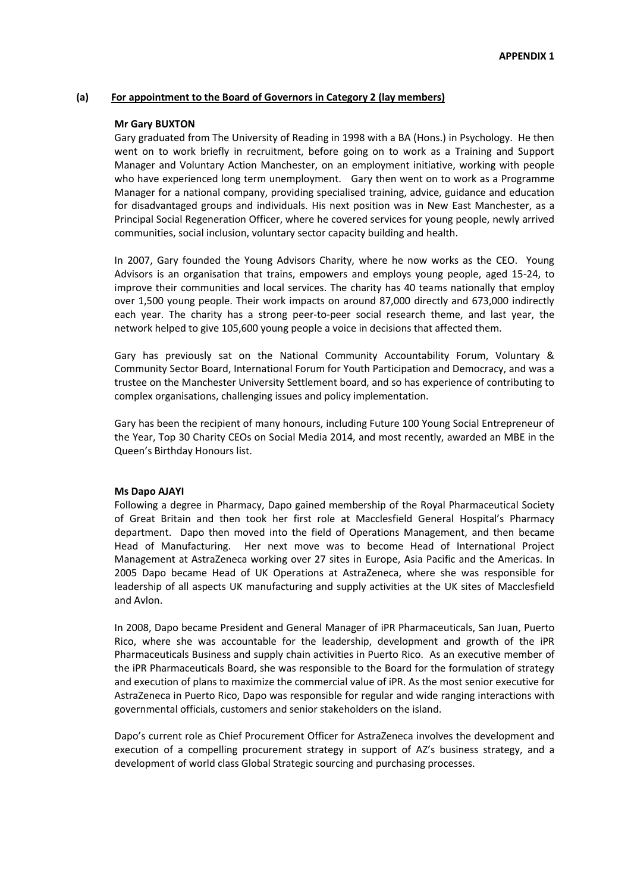#### **(a) For appointment to the Board of Governors in Category 2 (lay members)**

#### **Mr Gary BUXTON**

Gary graduated from The University of Reading in 1998 with a BA (Hons.) in Psychology. He then went on to work briefly in recruitment, before going on to work as a Training and Support Manager and Voluntary Action Manchester, on an employment initiative, working with people who have experienced long term unemployment. Gary then went on to work as a Programme Manager for a national company, providing specialised training, advice, guidance and education for disadvantaged groups and individuals. His next position was in New East Manchester, as a Principal Social Regeneration Officer, where he covered services for young people, newly arrived communities, social inclusion, voluntary sector capacity building and health.

In 2007, Gary founded the Young Advisors Charity, where he now works as the CEO. Young Advisors is an organisation that trains, empowers and employs young people, aged 15-24, to improve their communities and local services. The charity has 40 teams nationally that employ over 1,500 young people. Their work impacts on around 87,000 directly and 673,000 indirectly each year. The charity has a strong peer-to-peer social research theme, and last year, the network helped to give 105,600 young people a voice in decisions that affected them.

Gary has previously sat on the National Community Accountability Forum, Voluntary & Community Sector Board, International Forum for Youth Participation and Democracy, and was a trustee on the Manchester University Settlement board, and so has experience of contributing to complex organisations, challenging issues and policy implementation.

Gary has been the recipient of many honours, including Future 100 Young Social Entrepreneur of the Year, Top 30 Charity CEOs on Social Media 2014, and most recently, awarded an MBE in the Queen's Birthday Honours list.

#### **Ms Dapo AJAYI**

Following a degree in Pharmacy, Dapo gained membership of the Royal Pharmaceutical Society of Great Britain and then took her first role at Macclesfield General Hospital's Pharmacy department. Dapo then moved into the field of Operations Management, and then became Head of Manufacturing. Her next move was to become Head of International Project Management at AstraZeneca working over 27 sites in Europe, Asia Pacific and the Americas. In 2005 Dapo became Head of UK Operations at AstraZeneca, where she was responsible for leadership of all aspects UK manufacturing and supply activities at the UK sites of Macclesfield and Avlon.

In 2008, Dapo became President and General Manager of iPR Pharmaceuticals, San Juan, Puerto Rico, where she was accountable for the leadership, development and growth of the iPR Pharmaceuticals Business and supply chain activities in Puerto Rico. As an executive member of the iPR Pharmaceuticals Board, she was responsible to the Board for the formulation of strategy and execution of plans to maximize the commercial value of iPR. As the most senior executive for AstraZeneca in Puerto Rico, Dapo was responsible for regular and wide ranging interactions with governmental officials, customers and senior stakeholders on the island.

Dapo's current role as Chief Procurement Officer for AstraZeneca involves the development and execution of a compelling procurement strategy in support of AZ's business strategy, and a development of world class Global Strategic sourcing and purchasing processes.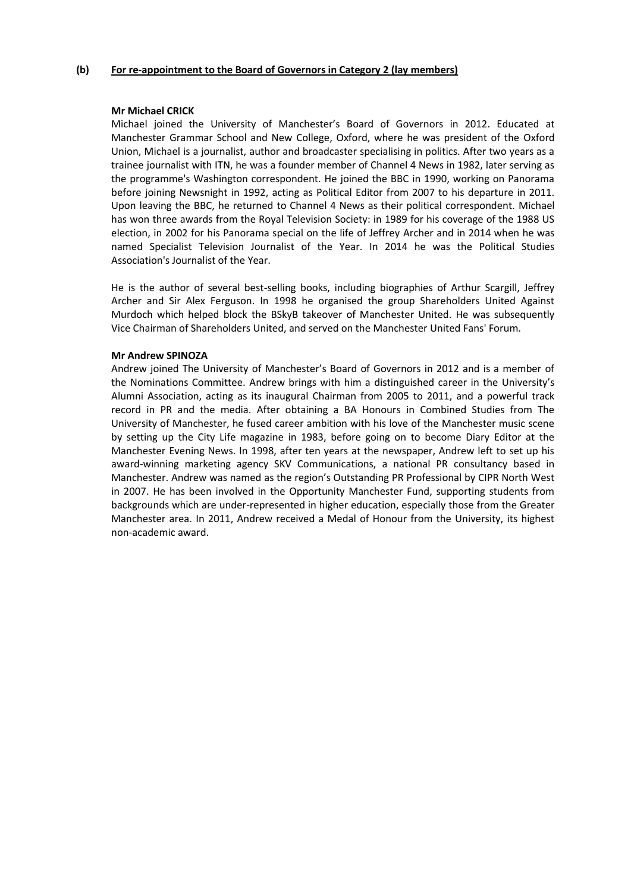## **(b) For re-appointment to the Board of Governors in Category 2 (lay members)**

#### **Mr Michael CRICK**

Michael joined the University of Manchester's Board of Governors in 2012. Educated at Manchester Grammar School and New College, Oxford, where he was president of the Oxford Union, Michael is a journalist, author and broadcaster specialising in politics. After two years as a trainee journalist with ITN, he was a founder member of Channel 4 News in 1982, later serving as the programme's Washington correspondent. He joined the BBC in 1990, working on Panorama before joining Newsnight in 1992, acting as Political Editor from 2007 to his departure in 2011. Upon leaving the BBC, he returned to Channel 4 News as their political correspondent. Michael has won three awards from the Royal Television Society: in 1989 for his coverage of the 1988 US election, in 2002 for his Panorama special on the life of Jeffrey Archer and in 2014 when he was named Specialist Television Journalist of the Year. In 2014 he was the Political Studies Association's Journalist of the Year.

He is the author of several best-selling books, including biographies of Arthur Scargill, Jeffrey Archer and Sir Alex Ferguson. In 1998 he organised the group Shareholders United Against Murdoch which helped block the BSkyB takeover of Manchester United. He was subsequently Vice Chairman of Shareholders United, and served on the Manchester United Fans' Forum.

#### **Mr Andrew SPINOZA**

Andrew joined The University of Manchester's Board of Governors in 2012 and is a member of the Nominations Committee. Andrew brings with him a distinguished career in the University's Alumni Association, acting as its inaugural Chairman from 2005 to 2011, and a powerful track record in PR and the media. After obtaining a BA Honours in Combined Studies from The University of Manchester, he fused career ambition with his love of the Manchester music scene by setting up the City Life magazine in 1983, before going on to become Diary Editor at the Manchester Evening News. In 1998, after ten years at the newspaper, Andrew left to set up his award-winning marketing agency SKV Communications, a national PR consultancy based in Manchester. Andrew was named as the region's Outstanding PR Professional by CIPR North West in 2007. He has been involved in the Opportunity Manchester Fund, supporting students from backgrounds which are under-represented in higher education, especially those from the Greater Manchester area. In 2011, Andrew received a Medal of Honour from the University, its highest non-academic award.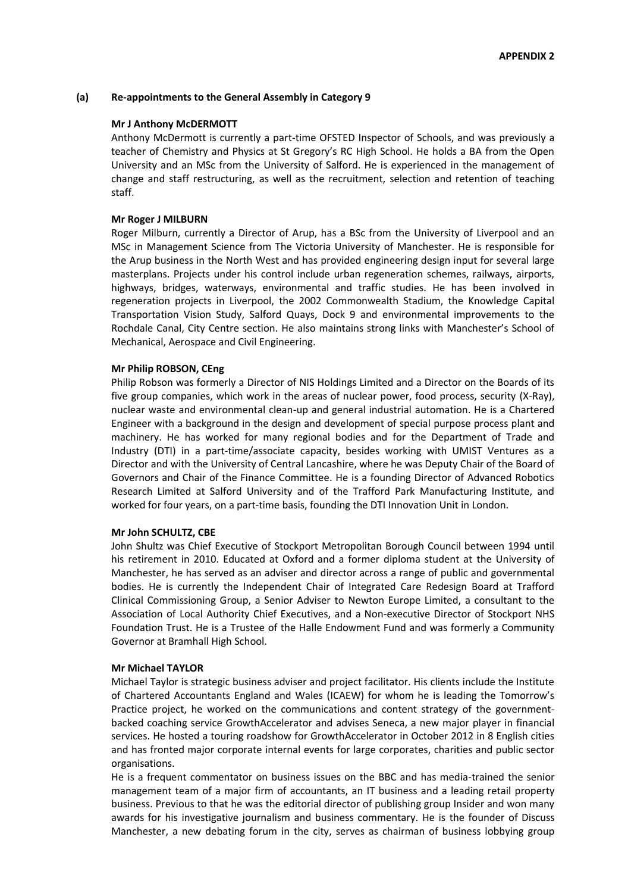#### **(a) Re-appointments to the General Assembly in Category 9**

#### **Mr J Anthony McDERMOTT**

Anthony McDermott is currently a part-time OFSTED Inspector of Schools, and was previously a teacher of Chemistry and Physics at St Gregory's RC High School. He holds a BA from the Open University and an MSc from the University of Salford. He is experienced in the management of change and staff restructuring, as well as the recruitment, selection and retention of teaching staff.

#### **Mr Roger J MILBURN**

Roger Milburn, currently a Director of Arup, has a BSc from the University of Liverpool and an MSc in Management Science from The Victoria University of Manchester. He is responsible for the Arup business in the North West and has provided engineering design input for several large masterplans. Projects under his control include urban regeneration schemes, railways, airports, highways, bridges, waterways, environmental and traffic studies. He has been involved in regeneration projects in Liverpool, the 2002 Commonwealth Stadium, the Knowledge Capital Transportation Vision Study, Salford Quays, Dock 9 and environmental improvements to the Rochdale Canal, City Centre section. He also maintains strong links with Manchester's School of Mechanical, Aerospace and Civil Engineering.

#### **Mr Philip ROBSON, CEng**

Philip Robson was formerly a Director of NIS Holdings Limited and a Director on the Boards of its five group companies, which work in the areas of nuclear power, food process, security (X-Ray), nuclear waste and environmental clean-up and general industrial automation. He is a Chartered Engineer with a background in the design and development of special purpose process plant and machinery. He has worked for many regional bodies and for the Department of Trade and Industry (DTI) in a part-time/associate capacity, besides working with UMIST Ventures as a Director and with the University of Central Lancashire, where he was Deputy Chair of the Board of Governors and Chair of the Finance Committee. He is a founding Director of Advanced Robotics Research Limited at Salford University and of the Trafford Park Manufacturing Institute, and worked for four years, on a part-time basis, founding the DTI Innovation Unit in London.

#### **Mr John SCHULTZ, CBE**

John Shultz was Chief Executive of Stockport Metropolitan Borough Council between 1994 until his retirement in 2010. Educated at Oxford and a former diploma student at the University of Manchester, he has served as an adviser and director across a range of public and governmental bodies. He is currently the Independent Chair of Integrated Care Redesign Board at Trafford Clinical Commissioning Group, a Senior Adviser to Newton Europe Limited, a consultant to the Association of Local Authority Chief Executives, and a Non-executive Director of Stockport NHS Foundation Trust. He is a Trustee of the Halle Endowment Fund and was formerly a Community Governor at Bramhall High School.

#### **Mr Michael TAYLOR**

Michael Taylor is strategic business adviser and project facilitator. His clients include the Institute of Chartered Accountants England and Wales (ICAEW) for whom he is leading the Tomorrow's Practice project, he worked on the communications and content strategy of the governmentbacked coaching service GrowthAccelerator and advises Seneca, a new major player in financial services. He hosted a touring roadshow for GrowthAccelerator in October 2012 in 8 English cities and has fronted major corporate internal events for large corporates, charities and public sector organisations.

He is a frequent commentator on business issues on the BBC and has media-trained the senior management team of a major firm of accountants, an IT business and a leading retail property business. Previous to that he was the editorial director of publishing group Insider and won many awards for his investigative journalism and business commentary. He is the founder of Discuss Manchester, a new debating forum in the city, serves as chairman of business lobbying group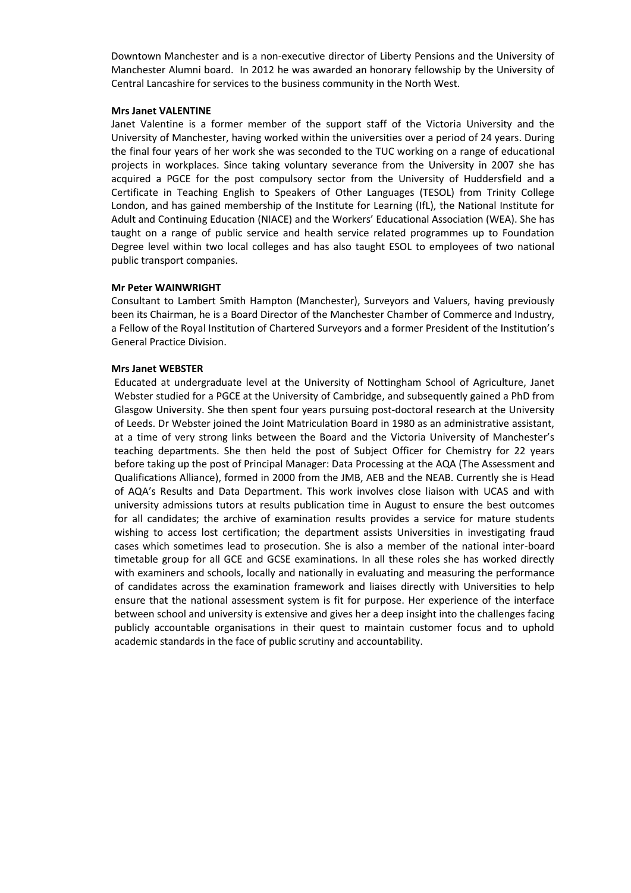Downtown Manchester and is a non-executive director of Liberty Pensions and the University of Manchester Alumni board. In 2012 he was awarded an honorary fellowship by the University of Central Lancashire for services to the business community in the North West.

#### **Mrs Janet VALENTINE**

Janet Valentine is a former member of the support staff of the Victoria University and the University of Manchester, having worked within the universities over a period of 24 years. During the final four years of her work she was seconded to the TUC working on a range of educational projects in workplaces. Since taking voluntary severance from the University in 2007 she has acquired a PGCE for the post compulsory sector from the University of Huddersfield and a Certificate in Teaching English to Speakers of Other Languages (TESOL) from Trinity College London, and has gained membership of the Institute for Learning (IfL), the National Institute for Adult and Continuing Education (NIACE) and the Workers' Educational Association (WEA). She has taught on a range of public service and health service related programmes up to Foundation Degree level within two local colleges and has also taught ESOL to employees of two national public transport companies.

## **Mr Peter WAINWRIGHT**

Consultant to Lambert Smith Hampton (Manchester), Surveyors and Valuers, having previously been its Chairman, he is a Board Director of the Manchester Chamber of Commerce and Industry, a Fellow of the Royal Institution of Chartered Surveyors and a former President of the Institution's General Practice Division.

#### **Mrs Janet WEBSTER**

Educated at undergraduate level at the University of Nottingham School of Agriculture, Janet Webster studied for a PGCE at the University of Cambridge, and subsequently gained a PhD from Glasgow University. She then spent four years pursuing post-doctoral research at the University of Leeds. Dr Webster joined the Joint Matriculation Board in 1980 as an administrative assistant, at a time of very strong links between the Board and the Victoria University of Manchester's teaching departments. She then held the post of Subject Officer for Chemistry for 22 years before taking up the post of Principal Manager: Data Processing at the AQA (The Assessment and Qualifications Alliance), formed in 2000 from the JMB, AEB and the NEAB. Currently she is Head of AQA's Results and Data Department. This work involves close liaison with UCAS and with university admissions tutors at results publication time in August to ensure the best outcomes for all candidates; the archive of examination results provides a service for mature students wishing to access lost certification; the department assists Universities in investigating fraud cases which sometimes lead to prosecution. She is also a member of the national inter-board timetable group for all GCE and GCSE examinations. In all these roles she has worked directly with examiners and schools, locally and nationally in evaluating and measuring the performance of candidates across the examination framework and liaises directly with Universities to help ensure that the national assessment system is fit for purpose. Her experience of the interface between school and university is extensive and gives her a deep insight into the challenges facing publicly accountable organisations in their quest to maintain customer focus and to uphold academic standards in the face of public scrutiny and accountability.